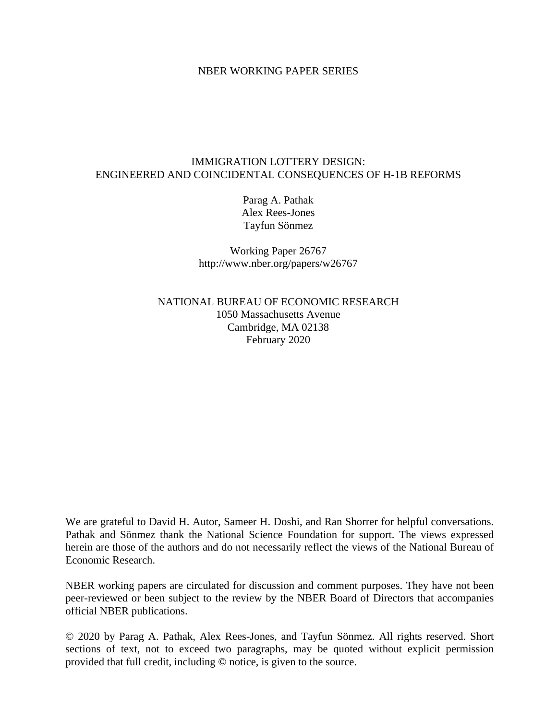#### NBER WORKING PAPER SERIES

### IMMIGRATION LOTTERY DESIGN: ENGINEERED AND COINCIDENTAL CONSEQUENCES OF H-1B REFORMS

Parag A. Pathak Alex Rees-Jones Tayfun Sönmez

Working Paper 26767 http://www.nber.org/papers/w26767

NATIONAL BUREAU OF ECONOMIC RESEARCH 1050 Massachusetts Avenue Cambridge, MA 02138 February 2020

We are grateful to David H. Autor, Sameer H. Doshi, and Ran Shorrer for helpful conversations. Pathak and Sönmez thank the National Science Foundation for support. The views expressed herein are those of the authors and do not necessarily reflect the views of the National Bureau of Economic Research.

NBER working papers are circulated for discussion and comment purposes. They have not been peer-reviewed or been subject to the review by the NBER Board of Directors that accompanies official NBER publications.

© 2020 by Parag A. Pathak, Alex Rees-Jones, and Tayfun Sönmez. All rights reserved. Short sections of text, not to exceed two paragraphs, may be quoted without explicit permission provided that full credit, including © notice, is given to the source.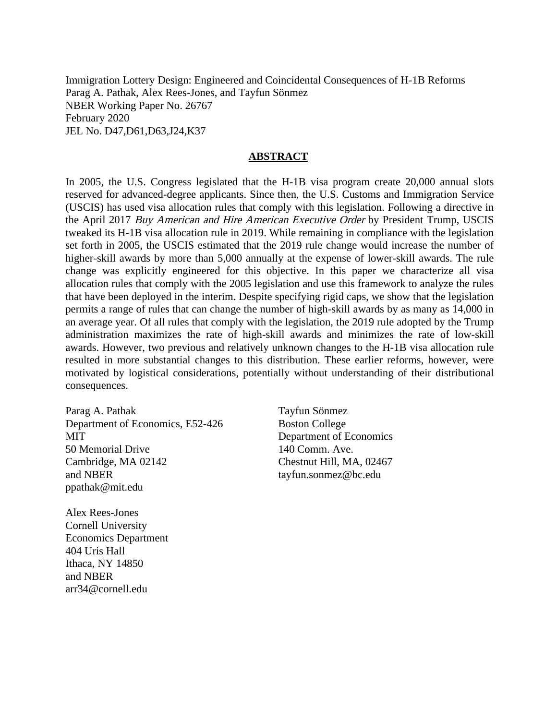Immigration Lottery Design: Engineered and Coincidental Consequences of H-1B Reforms Parag A. Pathak, Alex Rees-Jones, and Tayfun Sönmez NBER Working Paper No. 26767 February 2020 JEL No. D47,D61,D63,J24,K37

#### **ABSTRACT**

In 2005, the U.S. Congress legislated that the H-1B visa program create 20,000 annual slots reserved for advanced-degree applicants. Since then, the U.S. Customs and Immigration Service (USCIS) has used visa allocation rules that comply with this legislation. Following a directive in the April 2017 Buy American and Hire American Executive Order by President Trump, USCIS tweaked its H-1B visa allocation rule in 2019. While remaining in compliance with the legislation set forth in 2005, the USCIS estimated that the 2019 rule change would increase the number of higher-skill awards by more than 5,000 annually at the expense of lower-skill awards. The rule change was explicitly engineered for this objective. In this paper we characterize all visa allocation rules that comply with the 2005 legislation and use this framework to analyze the rules that have been deployed in the interim. Despite specifying rigid caps, we show that the legislation permits a range of rules that can change the number of high-skill awards by as many as 14,000 in an average year. Of all rules that comply with the legislation, the 2019 rule adopted by the Trump administration maximizes the rate of high-skill awards and minimizes the rate of low-skill awards. However, two previous and relatively unknown changes to the H-1B visa allocation rule resulted in more substantial changes to this distribution. These earlier reforms, however, were motivated by logistical considerations, potentially without understanding of their distributional consequences.

Parag A. Pathak Department of Economics, E52-426 MIT 50 Memorial Drive Cambridge, MA 02142 and NBER ppathak@mit.edu

Alex Rees-Jones Cornell University Economics Department 404 Uris Hall Ithaca, NY 14850 and NBER arr34@cornell.edu

Tayfun Sönmez Boston College Department of Economics 140 Comm. Ave. Chestnut Hill, MA, 02467 tayfun.sonmez@bc.edu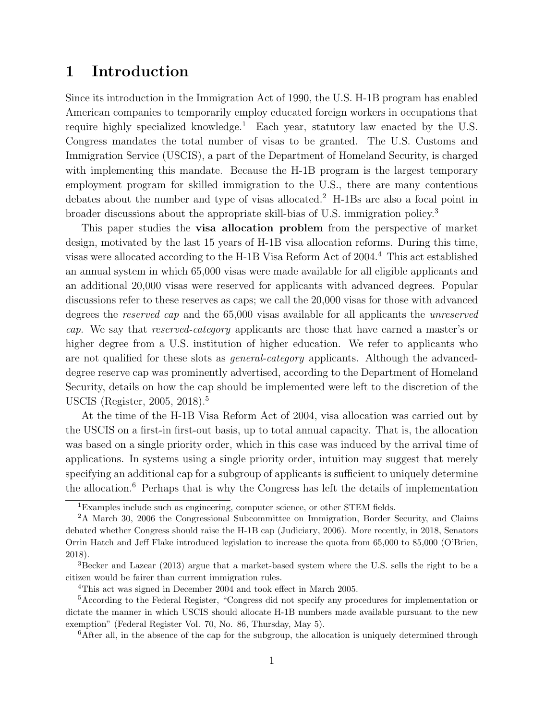# 1 Introduction

Since its introduction in the Immigration Act of 1990, the U.S. H-1B program has enabled American companies to temporarily employ educated foreign workers in occupations that require highly specialized knowledge.<sup>1</sup> Each year, statutory law enacted by the U.S. Congress mandates the total number of visas to be granted. The U.S. Customs and Immigration Service (USCIS), a part of the Department of Homeland Security, is charged with implementing this mandate. Because the H-1B program is the largest temporary employment program for skilled immigration to the U.S., there are many contentious debates about the number and type of visas allocated.<sup>2</sup> H-1Bs are also a focal point in broader discussions about the appropriate skill-bias of U.S. immigration policy.<sup>3</sup>

This paper studies the **visa allocation problem** from the perspective of market design, motivated by the last 15 years of H-1B visa allocation reforms. During this time, visas were allocated according to the H-1B Visa Reform Act of 2004.<sup>4</sup> This act established an annual system in which 65,000 visas were made available for all eligible applicants and an additional 20,000 visas were reserved for applicants with advanced degrees. Popular discussions refer to these reserves as caps; we call the 20,000 visas for those with advanced degrees the reserved cap and the 65,000 visas available for all applicants the unreserved cap. We say that reserved-category applicants are those that have earned a master's or higher degree from a U.S. institution of higher education. We refer to applicants who are not qualified for these slots as general-category applicants. Although the advanceddegree reserve cap was prominently advertised, according to the Department of Homeland Security, details on how the cap should be implemented were left to the discretion of the USCIS (Register, 2005, 2018).<sup>5</sup>

At the time of the H-1B Visa Reform Act of 2004, visa allocation was carried out by the USCIS on a first-in first-out basis, up to total annual capacity. That is, the allocation was based on a single priority order, which in this case was induced by the arrival time of applications. In systems using a single priority order, intuition may suggest that merely specifying an additional cap for a subgroup of applicants is sufficient to uniquely determine the allocation.<sup>6</sup> Perhaps that is why the Congress has left the details of implementation

<sup>1</sup>Examples include such as engineering, computer science, or other STEM fields.

<sup>2</sup>A March 30, 2006 the Congressional Subcommittee on Immigration, Border Security, and Claims debated whether Congress should raise the H-1B cap (Judiciary, 2006). More recently, in 2018, Senators Orrin Hatch and Jeff Flake introduced legislation to increase the quota from 65,000 to 85,000 (O'Brien, 2018).

<sup>3</sup>Becker and Lazear (2013) argue that a market-based system where the U.S. sells the right to be a citizen would be fairer than current immigration rules.

<sup>4</sup>This act was signed in December 2004 and took effect in March 2005.

<sup>5</sup>According to the Federal Register, "Congress did not specify any procedures for implementation or dictate the manner in which USCIS should allocate H-1B numbers made available pursuant to the new exemption" (Federal Register Vol. 70, No. 86, Thursday, May 5).

 $6$ After all, in the absence of the cap for the subgroup, the allocation is uniquely determined through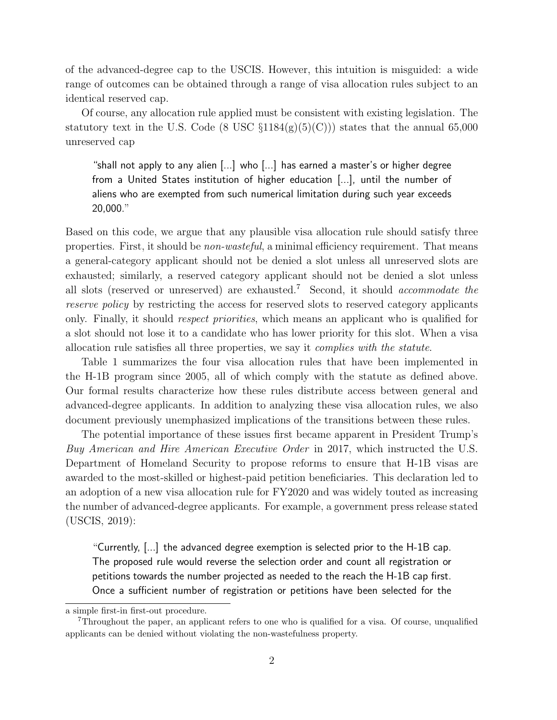of the advanced-degree cap to the USCIS. However, this intuition is misguided: a wide range of outcomes can be obtained through a range of visa allocation rules subject to an identical reserved cap.

Of course, any allocation rule applied must be consistent with existing legislation. The statutory text in the U.S. Code (8 USC  $\S 1184(g)(5)(C))$ ) states that the annual 65,000 unreserved cap

"shall not apply to any alien [...] who [...] has earned a master's or higher degree from a United States institution of higher education [...], until the number of aliens who are exempted from such numerical limitation during such year exceeds 20,000."

Based on this code, we argue that any plausible visa allocation rule should satisfy three properties. First, it should be non-wasteful, a minimal efficiency requirement. That means a general-category applicant should not be denied a slot unless all unreserved slots are exhausted; similarly, a reserved category applicant should not be denied a slot unless all slots (reserved or unreserved) are exhausted.<sup>7</sup> Second, it should *accommodate the* reserve policy by restricting the access for reserved slots to reserved category applicants only. Finally, it should respect priorities, which means an applicant who is qualified for a slot should not lose it to a candidate who has lower priority for this slot. When a visa allocation rule satisfies all three properties, we say it complies with the statute.

Table 1 summarizes the four visa allocation rules that have been implemented in the H-1B program since 2005, all of which comply with the statute as defined above. Our formal results characterize how these rules distribute access between general and advanced-degree applicants. In addition to analyzing these visa allocation rules, we also document previously unemphasized implications of the transitions between these rules.

The potential importance of these issues first became apparent in President Trump's Buy American and Hire American Executive Order in 2017, which instructed the U.S. Department of Homeland Security to propose reforms to ensure that H-1B visas are awarded to the most-skilled or highest-paid petition beneficiaries. This declaration led to an adoption of a new visa allocation rule for FY2020 and was widely touted as increasing the number of advanced-degree applicants. For example, a government press release stated (USCIS, 2019):

"Currently, [...] the advanced degree exemption is selected prior to the H-1B cap. The proposed rule would reverse the selection order and count all registration or petitions towards the number projected as needed to the reach the H-1B cap first. Once a sufficient number of registration or petitions have been selected for the

a simple first-in first-out procedure.

<sup>7</sup>Throughout the paper, an applicant refers to one who is qualified for a visa. Of course, unqualified applicants can be denied without violating the non-wastefulness property.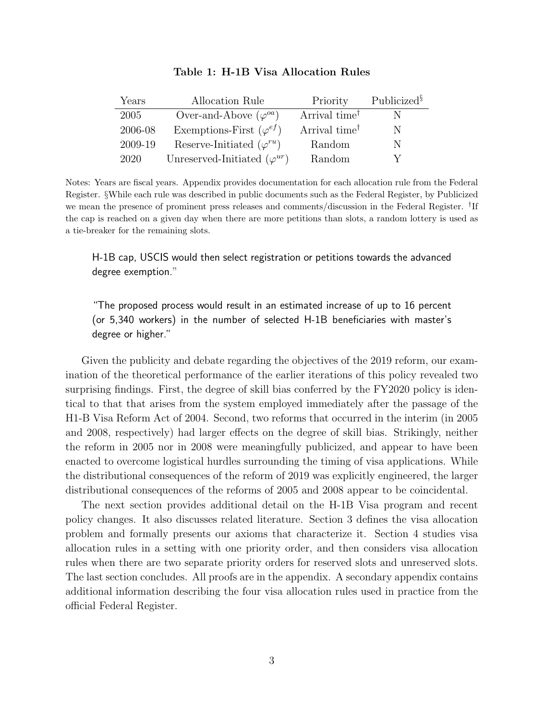| Years       | Allocation Rule                       | Priority                  | Publicized <sup>§</sup> |
|-------------|---------------------------------------|---------------------------|-------------------------|
| <b>2005</b> | Over-and-Above $(\varphi^{oa})$       | Arrival time <sup>†</sup> |                         |
| 2006-08     | Exemptions-First $(\varphi^{ef})$     | Arrival time <sup>†</sup> | N                       |
| 2009-19     | Reserve-Initiated $(\varphi^{ru})$    | Random                    | N                       |
| 2020        | Unreserved-Initiated $(\varphi^{ur})$ | Random                    |                         |

#### Table 1: H-1B Visa Allocation Rules

Notes: Years are fiscal years. Appendix provides documentation for each allocation rule from the Federal Register. §While each rule was described in public documents such as the Federal Register, by Publicized we mean the presence of prominent press releases and comments/discussion in the Federal Register. <sup>†</sup>If the cap is reached on a given day when there are more petitions than slots, a random lottery is used as a tie-breaker for the remaining slots.

H-1B cap, USCIS would then select registration or petitions towards the advanced degree exemption."

"The proposed process would result in an estimated increase of up to 16 percent (or 5,340 workers) in the number of selected H-1B beneficiaries with master's degree or higher."

Given the publicity and debate regarding the objectives of the 2019 reform, our examination of the theoretical performance of the earlier iterations of this policy revealed two surprising findings. First, the degree of skill bias conferred by the FY2020 policy is identical to that that arises from the system employed immediately after the passage of the H1-B Visa Reform Act of 2004. Second, two reforms that occurred in the interim (in 2005 and 2008, respectively) had larger effects on the degree of skill bias. Strikingly, neither the reform in 2005 nor in 2008 were meaningfully publicized, and appear to have been enacted to overcome logistical hurdles surrounding the timing of visa applications. While the distributional consequences of the reform of 2019 was explicitly engineered, the larger distributional consequences of the reforms of 2005 and 2008 appear to be coincidental.

The next section provides additional detail on the H-1B Visa program and recent policy changes. It also discusses related literature. Section 3 defines the visa allocation problem and formally presents our axioms that characterize it. Section 4 studies visa allocation rules in a setting with one priority order, and then considers visa allocation rules when there are two separate priority orders for reserved slots and unreserved slots. The last section concludes. All proofs are in the appendix. A secondary appendix contains additional information describing the four visa allocation rules used in practice from the official Federal Register.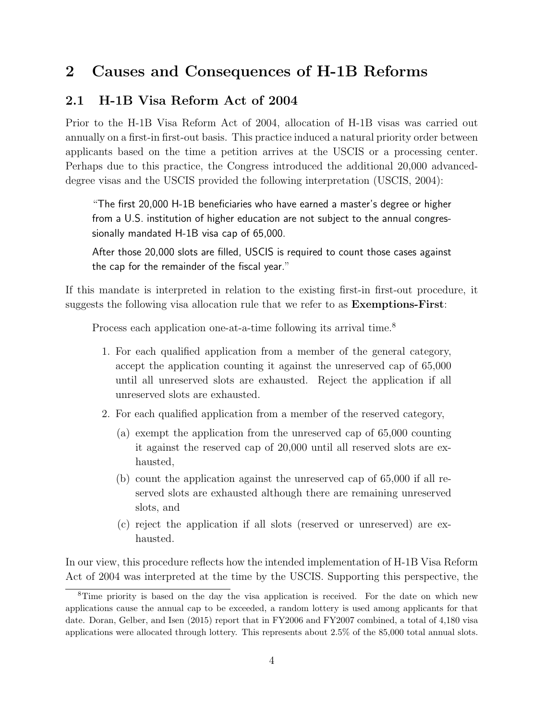# 2 Causes and Consequences of H-1B Reforms

## 2.1 H-1B Visa Reform Act of 2004

Prior to the H-1B Visa Reform Act of 2004, allocation of H-1B visas was carried out annually on a first-in first-out basis. This practice induced a natural priority order between applicants based on the time a petition arrives at the USCIS or a processing center. Perhaps due to this practice, the Congress introduced the additional 20,000 advanceddegree visas and the USCIS provided the following interpretation (USCIS, 2004):

"The first 20,000 H-1B beneficiaries who have earned a master's degree or higher from a U.S. institution of higher education are not subject to the annual congressionally mandated H-1B visa cap of 65,000.

After those 20,000 slots are filled, USCIS is required to count those cases against the cap for the remainder of the fiscal year."

If this mandate is interpreted in relation to the existing first-in first-out procedure, it suggests the following visa allocation rule that we refer to as Exemptions-First:

Process each application one-at-a-time following its arrival time.<sup>8</sup>

- 1. For each qualified application from a member of the general category, accept the application counting it against the unreserved cap of 65,000 until all unreserved slots are exhausted. Reject the application if all unreserved slots are exhausted.
- 2. For each qualified application from a member of the reserved category,
	- (a) exempt the application from the unreserved cap of 65,000 counting it against the reserved cap of 20,000 until all reserved slots are exhausted,
	- (b) count the application against the unreserved cap of 65,000 if all reserved slots are exhausted although there are remaining unreserved slots, and
	- (c) reject the application if all slots (reserved or unreserved) are exhausted.

In our view, this procedure reflects how the intended implementation of H-1B Visa Reform Act of 2004 was interpreted at the time by the USCIS. Supporting this perspective, the

<sup>8</sup>Time priority is based on the day the visa application is received. For the date on which new applications cause the annual cap to be exceeded, a random lottery is used among applicants for that date. Doran, Gelber, and Isen (2015) report that in FY2006 and FY2007 combined, a total of 4,180 visa applications were allocated through lottery. This represents about 2.5% of the 85,000 total annual slots.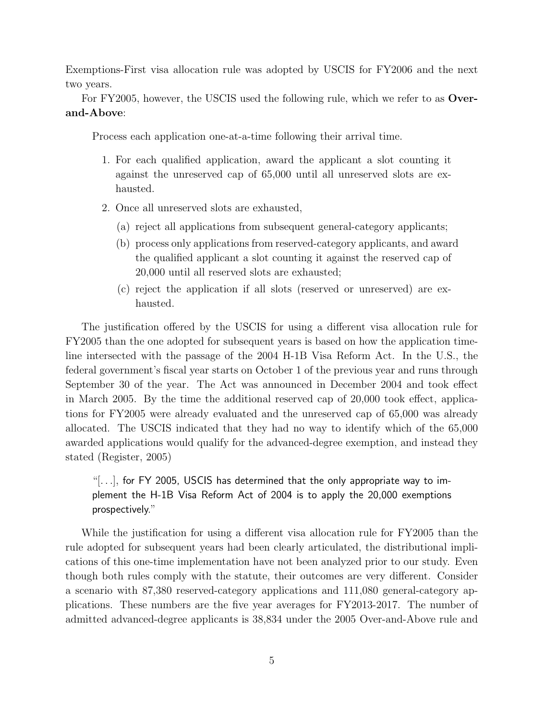Exemptions-First visa allocation rule was adopted by USCIS for FY2006 and the next two years.

For FY2005, however, the USCIS used the following rule, which we refer to as Overand-Above:

Process each application one-at-a-time following their arrival time.

- 1. For each qualified application, award the applicant a slot counting it against the unreserved cap of 65,000 until all unreserved slots are exhausted.
- 2. Once all unreserved slots are exhausted,
	- (a) reject all applications from subsequent general-category applicants;
	- (b) process only applications from reserved-category applicants, and award the qualified applicant a slot counting it against the reserved cap of 20,000 until all reserved slots are exhausted;
	- (c) reject the application if all slots (reserved or unreserved) are exhausted.

The justification offered by the USCIS for using a different visa allocation rule for FY2005 than the one adopted for subsequent years is based on how the application timeline intersected with the passage of the 2004 H-1B Visa Reform Act. In the U.S., the federal government's fiscal year starts on October 1 of the previous year and runs through September 30 of the year. The Act was announced in December 2004 and took effect in March 2005. By the time the additional reserved cap of 20,000 took effect, applications for FY2005 were already evaluated and the unreserved cap of 65,000 was already allocated. The USCIS indicated that they had no way to identify which of the 65,000 awarded applications would qualify for the advanced-degree exemption, and instead they stated (Register, 2005)

" $[...]$ , for FY 2005, USCIS has determined that the only appropriate way to implement the H-1B Visa Reform Act of 2004 is to apply the 20,000 exemptions prospectively."

While the justification for using a different visa allocation rule for FY2005 than the rule adopted for subsequent years had been clearly articulated, the distributional implications of this one-time implementation have not been analyzed prior to our study. Even though both rules comply with the statute, their outcomes are very different. Consider a scenario with 87,380 reserved-category applications and 111,080 general-category applications. These numbers are the five year averages for FY2013-2017. The number of admitted advanced-degree applicants is 38,834 under the 2005 Over-and-Above rule and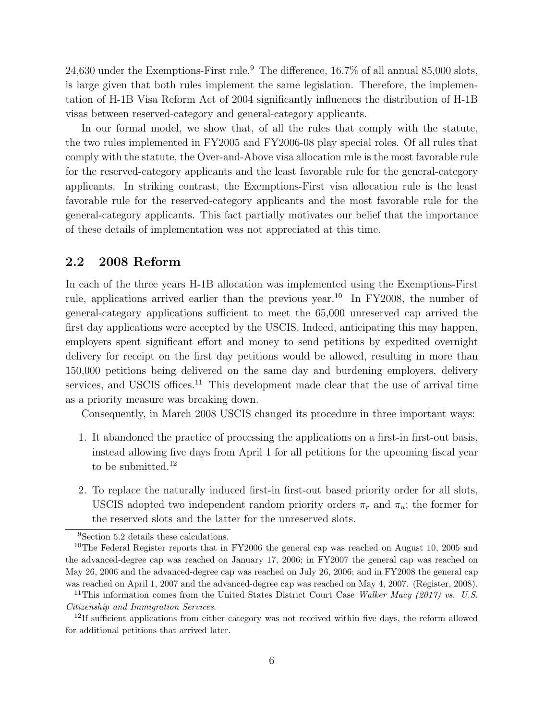24,630 under the Exemptions-First rule.<sup>9</sup> The difference,  $16.7\%$  of all annual 85,000 slots, is large given that both rules implement the same legislation. Therefore, the implementation of H-1B Visa Reform Act of 2004 significantly influences the distribution of H-1B visas between reserved-category and general-category applicants.

In our formal model, we show that, of all the rules that comply with the statute, the two rules implemented in FY2005 and FY2006-08 play special roles. Of all rules that comply with the statute, the Over-and-Above visa allocation rule is the most favorable rule for the reserved-category applicants and the least favorable rule for the general-category applicants. In striking contrast, the Exemptions-First visa allocation rule is the least favorable rule for the reserved-category applicants and the most favorable rule for the general-category applicants. This fact partially motivates our belief that the importance of these details of implementation was not appreciated at this time.

## 2.2 2008 Reform

In each of the three years H-1B allocation was implemented using the Exemptions-First rule, applications arrived earlier than the previous year.<sup>10</sup> In FY2008, the number of general-category applications sufficient to meet the 65,000 unreserved cap arrived the first day applications were accepted by the USCIS. Indeed, anticipating this may happen, employers spent significant effort and money to send petitions by expedited overnight delivery for receipt on the first day petitions would be allowed, resulting in more than 150,000 petitions being delivered on the same day and burdening employers, delivery services, and USCIS offices.<sup>11</sup> This development made clear that the use of arrival time as a priority measure was breaking down.

Consequently, in March 2008 USCIS changed its procedure in three important ways:

- 1. It abandoned the practice of processing the applications on a first-in first-out basis, instead allowing five days from April 1 for all petitions for the upcoming fiscal year to be submitted. $12$
- 2. To replace the naturally induced first-in first-out based priority order for all slots, USCIS adopted two independent random priority orders  $\pi_r$  and  $\pi_u$ ; the former for the reserved slots and the latter for the unreserved slots.

<sup>9</sup>Section 5.2 details these calculations.

<sup>&</sup>lt;sup>10</sup>The Federal Register reports that in FY2006 the general cap was reached on August 10, 2005 and the advanced-degree cap was reached on January 17, 2006; in FY2007 the general cap was reached on May 26, 2006 and the advanced-degree cap was reached on July 26, 2006; and in FY2008 the general cap was reached on April 1, 2007 and the advanced-degree cap was reached on May 4, 2007. (Register, 2008).

<sup>&</sup>lt;sup>11</sup>This information comes from the United States District Court Case Walker Macy (2017) vs. U.S. Citizenship and Immigration Services.

 $12$ If sufficient applications from either category was not received within five days, the reform allowed for additional petitions that arrived later.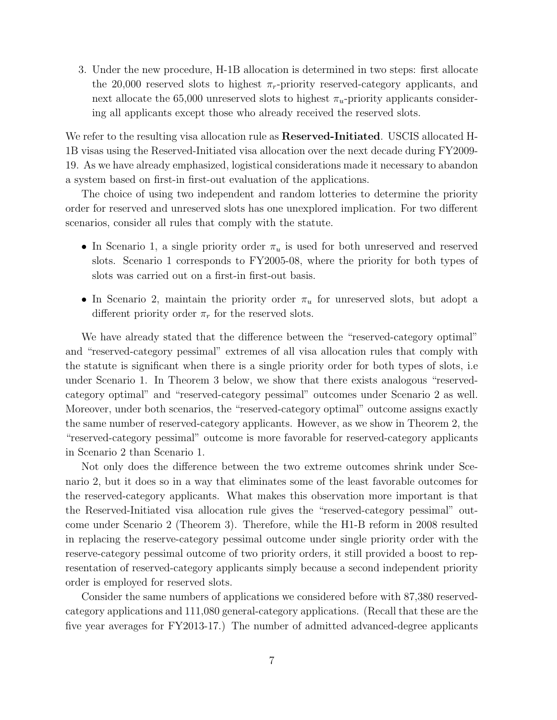3. Under the new procedure, H-1B allocation is determined in two steps: first allocate the 20,000 reserved slots to highest  $\pi_r$ -priority reserved-category applicants, and next allocate the 65,000 unreserved slots to highest  $\pi_u$ -priority applicants considering all applicants except those who already received the reserved slots.

We refer to the resulting visa allocation rule as **Reserved-Initiated**. USCIS allocated H-1B visas using the Reserved-Initiated visa allocation over the next decade during FY2009- 19. As we have already emphasized, logistical considerations made it necessary to abandon a system based on first-in first-out evaluation of the applications.

The choice of using two independent and random lotteries to determine the priority order for reserved and unreserved slots has one unexplored implication. For two different scenarios, consider all rules that comply with the statute.

- In Scenario 1, a single priority order  $\pi_u$  is used for both unreserved and reserved slots. Scenario 1 corresponds to FY2005-08, where the priority for both types of slots was carried out on a first-in first-out basis.
- In Scenario 2, maintain the priority order  $\pi_u$  for unreserved slots, but adopt a different priority order  $\pi_r$  for the reserved slots.

We have already stated that the difference between the "reserved-category optimal" and "reserved-category pessimal" extremes of all visa allocation rules that comply with the statute is significant when there is a single priority order for both types of slots, i.e under Scenario 1. In Theorem 3 below, we show that there exists analogous "reservedcategory optimal" and "reserved-category pessimal" outcomes under Scenario 2 as well. Moreover, under both scenarios, the "reserved-category optimal" outcome assigns exactly the same number of reserved-category applicants. However, as we show in Theorem 2, the "reserved-category pessimal" outcome is more favorable for reserved-category applicants in Scenario 2 than Scenario 1.

Not only does the difference between the two extreme outcomes shrink under Scenario 2, but it does so in a way that eliminates some of the least favorable outcomes for the reserved-category applicants. What makes this observation more important is that the Reserved-Initiated visa allocation rule gives the "reserved-category pessimal" outcome under Scenario 2 (Theorem 3). Therefore, while the H1-B reform in 2008 resulted in replacing the reserve-category pessimal outcome under single priority order with the reserve-category pessimal outcome of two priority orders, it still provided a boost to representation of reserved-category applicants simply because a second independent priority order is employed for reserved slots.

Consider the same numbers of applications we considered before with 87,380 reservedcategory applications and 111,080 general-category applications. (Recall that these are the five year averages for FY2013-17.) The number of admitted advanced-degree applicants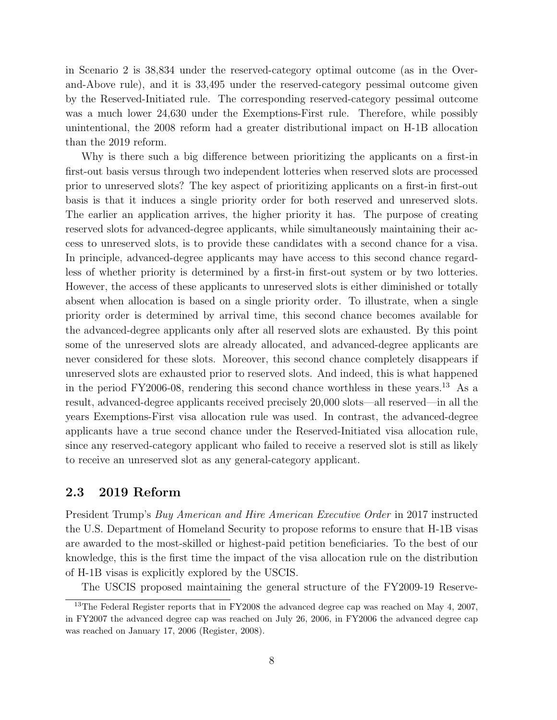in Scenario 2 is 38,834 under the reserved-category optimal outcome (as in the Overand-Above rule), and it is 33,495 under the reserved-category pessimal outcome given by the Reserved-Initiated rule. The corresponding reserved-category pessimal outcome was a much lower 24,630 under the Exemptions-First rule. Therefore, while possibly unintentional, the 2008 reform had a greater distributional impact on H-1B allocation than the 2019 reform.

Why is there such a big difference between prioritizing the applicants on a first-in first-out basis versus through two independent lotteries when reserved slots are processed prior to unreserved slots? The key aspect of prioritizing applicants on a first-in first-out basis is that it induces a single priority order for both reserved and unreserved slots. The earlier an application arrives, the higher priority it has. The purpose of creating reserved slots for advanced-degree applicants, while simultaneously maintaining their access to unreserved slots, is to provide these candidates with a second chance for a visa. In principle, advanced-degree applicants may have access to this second chance regardless of whether priority is determined by a first-in first-out system or by two lotteries. However, the access of these applicants to unreserved slots is either diminished or totally absent when allocation is based on a single priority order. To illustrate, when a single priority order is determined by arrival time, this second chance becomes available for the advanced-degree applicants only after all reserved slots are exhausted. By this point some of the unreserved slots are already allocated, and advanced-degree applicants are never considered for these slots. Moreover, this second chance completely disappears if unreserved slots are exhausted prior to reserved slots. And indeed, this is what happened in the period FY2006-08, rendering this second chance worthless in these years.<sup>13</sup> As a result, advanced-degree applicants received precisely 20,000 slots—all reserved—in all the years Exemptions-First visa allocation rule was used. In contrast, the advanced-degree applicants have a true second chance under the Reserved-Initiated visa allocation rule, since any reserved-category applicant who failed to receive a reserved slot is still as likely to receive an unreserved slot as any general-category applicant.

## 2.3 2019 Reform

President Trump's Buy American and Hire American Executive Order in 2017 instructed the U.S. Department of Homeland Security to propose reforms to ensure that H-1B visas are awarded to the most-skilled or highest-paid petition beneficiaries. To the best of our knowledge, this is the first time the impact of the visa allocation rule on the distribution of H-1B visas is explicitly explored by the USCIS.

The USCIS proposed maintaining the general structure of the FY2009-19 Reserve-

<sup>&</sup>lt;sup>13</sup>The Federal Register reports that in FY2008 the advanced degree cap was reached on May 4, 2007, in FY2007 the advanced degree cap was reached on July 26, 2006, in FY2006 the advanced degree cap was reached on January 17, 2006 (Register, 2008).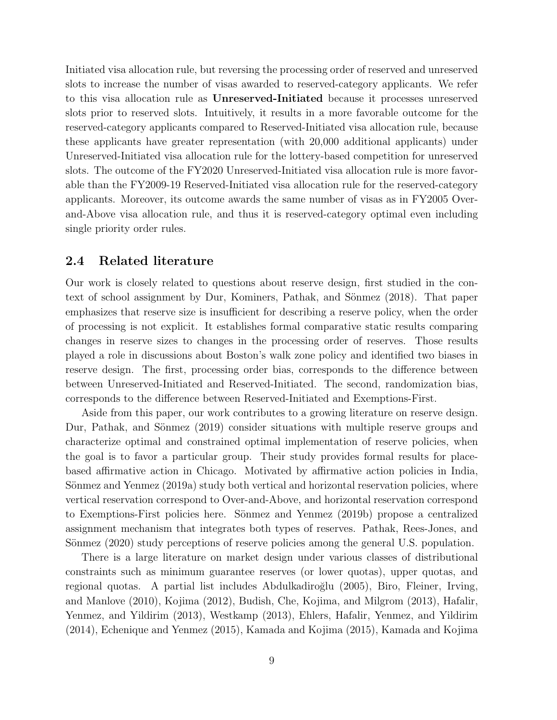Initiated visa allocation rule, but reversing the processing order of reserved and unreserved slots to increase the number of visas awarded to reserved-category applicants. We refer to this visa allocation rule as Unreserved-Initiated because it processes unreserved slots prior to reserved slots. Intuitively, it results in a more favorable outcome for the reserved-category applicants compared to Reserved-Initiated visa allocation rule, because these applicants have greater representation (with 20,000 additional applicants) under Unreserved-Initiated visa allocation rule for the lottery-based competition for unreserved slots. The outcome of the FY2020 Unreserved-Initiated visa allocation rule is more favorable than the FY2009-19 Reserved-Initiated visa allocation rule for the reserved-category applicants. Moreover, its outcome awards the same number of visas as in FY2005 Overand-Above visa allocation rule, and thus it is reserved-category optimal even including single priority order rules.

## 2.4 Related literature

Our work is closely related to questions about reserve design, first studied in the context of school assignment by Dur, Kominers, Pathak, and Sönmez (2018). That paper emphasizes that reserve size is insufficient for describing a reserve policy, when the order of processing is not explicit. It establishes formal comparative static results comparing changes in reserve sizes to changes in the processing order of reserves. Those results played a role in discussions about Boston's walk zone policy and identified two biases in reserve design. The first, processing order bias, corresponds to the difference between between Unreserved-Initiated and Reserved-Initiated. The second, randomization bias, corresponds to the difference between Reserved-Initiated and Exemptions-First.

Aside from this paper, our work contributes to a growing literature on reserve design. Dur, Pathak, and Sönmez (2019) consider situations with multiple reserve groups and characterize optimal and constrained optimal implementation of reserve policies, when the goal is to favor a particular group. Their study provides formal results for placebased affirmative action in Chicago. Motivated by affirmative action policies in India, Sönmez and Yenmez (2019a) study both vertical and horizontal reservation policies, where vertical reservation correspond to Over-and-Above, and horizontal reservation correspond to Exemptions-First policies here. Sönmez and Yenmez (2019b) propose a centralized assignment mechanism that integrates both types of reserves. Pathak, Rees-Jones, and Sönmez (2020) study perceptions of reserve policies among the general U.S. population.

There is a large literature on market design under various classes of distributional constraints such as minimum guarantee reserves (or lower quotas), upper quotas, and regional quotas. A partial list includes Abdulkadiroğlu (2005), Biro, Fleiner, Irving, and Manlove (2010), Kojima (2012), Budish, Che, Kojima, and Milgrom (2013), Hafalir, Yenmez, and Yildirim (2013), Westkamp (2013), Ehlers, Hafalir, Yenmez, and Yildirim (2014), Echenique and Yenmez (2015), Kamada and Kojima (2015), Kamada and Kojima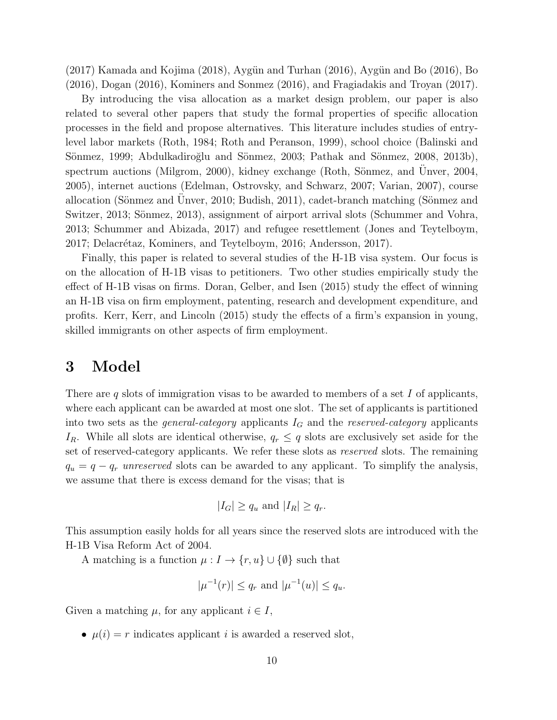$(2017)$  Kamada and Kojima  $(2018)$ , Aygün and Turhan  $(2016)$ , Aygün and Bo  $(2016)$ , Bo (2016), Dogan (2016), Kominers and Sonmez (2016), and Fragiadakis and Troyan (2017).

By introducing the visa allocation as a market design problem, our paper is also related to several other papers that study the formal properties of specific allocation processes in the field and propose alternatives. This literature includes studies of entrylevel labor markets (Roth, 1984; Roth and Peranson, 1999), school choice (Balinski and Sönmez, 1999; Abdulkadiroğlu and Sönmez, 2003; Pathak and Sönmez, 2008, 2013b), spectrum auctions (Milgrom, 2000), kidney exchange (Roth, Sönmez, and Unver,  $2004$ , 2005), internet auctions (Edelman, Ostrovsky, and Schwarz, 2007; Varian, 2007), course allocation (Sönmez and Unver, 2010; Budish, 2011), cadet-branch matching (Sönmez and Switzer, 2013; Sönmez, 2013), assignment of airport arrival slots (Schummer and Vohra, 2013; Schummer and Abizada, 2017) and refugee resettlement (Jones and Teytelboym, 2017; Delacrétaz, Kominers, and Teytelboym, 2016; Andersson, 2017).

Finally, this paper is related to several studies of the H-1B visa system. Our focus is on the allocation of H-1B visas to petitioners. Two other studies empirically study the effect of H-1B visas on firms. Doran, Gelber, and Isen (2015) study the effect of winning an H-1B visa on firm employment, patenting, research and development expenditure, and profits. Kerr, Kerr, and Lincoln (2015) study the effects of a firm's expansion in young, skilled immigrants on other aspects of firm employment.

## 3 Model

There are q slots of immigration visas to be awarded to members of a set  $I$  of applicants, where each applicant can be awarded at most one slot. The set of applicants is partitioned into two sets as the *general-category* applicants  $I_G$  and the *reserved-category* applicants  $I_R$ . While all slots are identical otherwise,  $q_r \leq q$  slots are exclusively set aside for the set of reserved-category applicants. We refer these slots as reserved slots. The remaining  $q_u = q - q_r$  unreserved slots can be awarded to any applicant. To simplify the analysis, we assume that there is excess demand for the visas; that is

$$
|I_G| \ge q_u
$$
 and  $|I_R| \ge q_r$ .

This assumption easily holds for all years since the reserved slots are introduced with the H-1B Visa Reform Act of 2004.

A matching is a function  $\mu: I \to \{r, u\} \cup \{\emptyset\}$  such that

$$
|\mu^{-1}(r)| \le q_r
$$
 and  $|\mu^{-1}(u)| \le q_u$ .

Given a matching  $\mu$ , for any applicant  $i \in I$ ,

•  $\mu(i) = r$  indicates applicant *i* is awarded a reserved slot,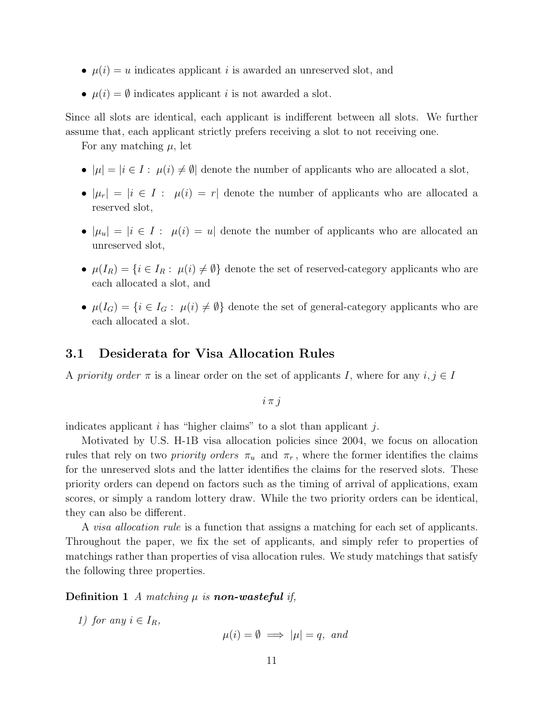- $\mu(i) = u$  indicates applicant *i* is awarded an unreserved slot, and
- $\mu(i) = \emptyset$  indicates applicant *i* is not awarded a slot.

Since all slots are identical, each applicant is indifferent between all slots. We further assume that, each applicant strictly prefers receiving a slot to not receiving one.

For any matching  $\mu$ , let

- $|\mu| = |i \in I : \mu(i) \neq \emptyset|$  denote the number of applicants who are allocated a slot,
- $|\mu_r| = |i \in I : \mu(i) = r|$  denote the number of applicants who are allocated a reserved slot,
- $|\mu_u| = |i \in I : \mu(i) = u|$  denote the number of applicants who are allocated an unreserved slot,
- $\mu(I_R) = \{i \in I_R : \mu(i) \neq \emptyset\}$  denote the set of reserved-category applicants who are each allocated a slot, and
- $\mu(I_G) = \{i \in I_G : \mu(i) \neq \emptyset\}$  denote the set of general-category applicants who are each allocated a slot.

## 3.1 Desiderata for Visa Allocation Rules

A priority order  $\pi$  is a linear order on the set of applicants I, where for any  $i, j \in I$ 

$$
i \pi j
$$

indicates applicant  $i$  has "higher claims" to a slot than applicant  $i$ .

Motivated by U.S. H-1B visa allocation policies since 2004, we focus on allocation rules that rely on two *priority orders*  $\pi_u$  and  $\pi_r$ , where the former identifies the claims for the unreserved slots and the latter identifies the claims for the reserved slots. These priority orders can depend on factors such as the timing of arrival of applications, exam scores, or simply a random lottery draw. While the two priority orders can be identical, they can also be different.

A *visa allocation rule* is a function that assigns a matching for each set of applicants. Throughout the paper, we fix the set of applicants, and simply refer to properties of matchings rather than properties of visa allocation rules. We study matchings that satisfy the following three properties.

**Definition 1** A matching  $\mu$  is **non-wasteful** if,

1) for any  $i \in I_R$ ,

 $\mu(i) = \emptyset \implies |\mu| = q$ , and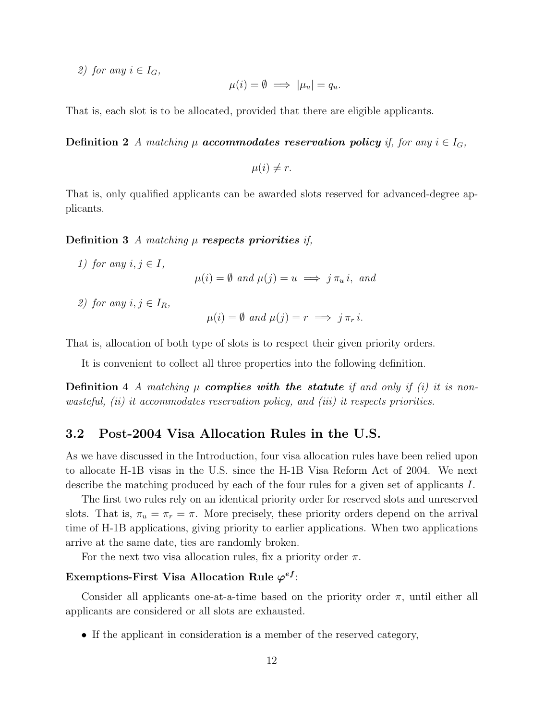2) for any  $i \in I_G$ ,

$$
\mu(i) = \emptyset \implies |\mu_u| = q_u.
$$

That is, each slot is to be allocated, provided that there are eligible applicants.

**Definition 2** A matching  $\mu$  **accommodates reservation policy** if, for any  $i \in I_G$ ,

 $\mu(i) \neq r$ .

That is, only qualified applicants can be awarded slots reserved for advanced-degree applicants.

Definition 3 A matching  $\mu$  respects priorities if,

1) for any  $i, j \in I$ ,  $\mu(i) = \emptyset$  and  $\mu(j) = u \implies j \pi_{ij} i$ , and

2) for any  $i, j \in I_R$ ,

$$
\mu(i) = \emptyset \text{ and } \mu(j) = r \implies j \pi_r i.
$$

That is, allocation of both type of slots is to respect their given priority orders.

It is convenient to collect all three properties into the following definition.

**Definition 4** A matching  $\mu$  **complies with the statute** if and only if (i) it is nonwasteful, (ii) it accommodates reservation policy, and (iii) it respects priorities.

## 3.2 Post-2004 Visa Allocation Rules in the U.S.

As we have discussed in the Introduction, four visa allocation rules have been relied upon to allocate H-1B visas in the U.S. since the H-1B Visa Reform Act of 2004. We next describe the matching produced by each of the four rules for a given set of applicants I.

The first two rules rely on an identical priority order for reserved slots and unreserved slots. That is,  $\pi_u = \pi_r = \pi$ . More precisely, these priority orders depend on the arrival time of H-1B applications, giving priority to earlier applications. When two applications arrive at the same date, ties are randomly broken.

For the next two visa allocation rules, fix a priority order  $\pi$ .

#### Exemptions-First Visa Allocation Rule  $\varphi^{ef}$ :

Consider all applicants one-at-a-time based on the priority order  $\pi$ , until either all applicants are considered or all slots are exhausted.

• If the applicant in consideration is a member of the reserved category,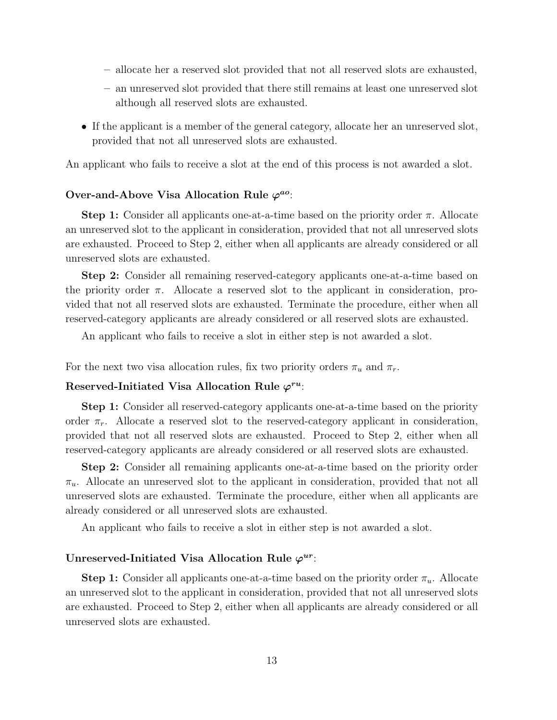- allocate her a reserved slot provided that not all reserved slots are exhausted,
- an unreserved slot provided that there still remains at least one unreserved slot although all reserved slots are exhausted.
- If the applicant is a member of the general category, allocate her an unreserved slot, provided that not all unreserved slots are exhausted.

An applicant who fails to receive a slot at the end of this process is not awarded a slot.

#### Over-and-Above Visa Allocation Rule  $\varphi^{ao}$ .

**Step 1:** Consider all applicants one-at-a-time based on the priority order  $\pi$ . Allocate an unreserved slot to the applicant in consideration, provided that not all unreserved slots are exhausted. Proceed to Step 2, either when all applicants are already considered or all unreserved slots are exhausted.

Step 2: Consider all remaining reserved-category applicants one-at-a-time based on the priority order  $\pi$ . Allocate a reserved slot to the applicant in consideration, provided that not all reserved slots are exhausted. Terminate the procedure, either when all reserved-category applicants are already considered or all reserved slots are exhausted.

An applicant who fails to receive a slot in either step is not awarded a slot.

For the next two visa allocation rules, fix two priority orders  $\pi_u$  and  $\pi_r$ .

#### Reserved-Initiated Visa Allocation Rule  $\varphi^{ru}$ :

Step 1: Consider all reserved-category applicants one-at-a-time based on the priority order  $\pi_r$ . Allocate a reserved slot to the reserved-category applicant in consideration, provided that not all reserved slots are exhausted. Proceed to Step 2, either when all reserved-category applicants are already considered or all reserved slots are exhausted.

Step 2: Consider all remaining applicants one-at-a-time based on the priority order  $\pi_u$ . Allocate an unreserved slot to the applicant in consideration, provided that not all unreserved slots are exhausted. Terminate the procedure, either when all applicants are already considered or all unreserved slots are exhausted.

An applicant who fails to receive a slot in either step is not awarded a slot.

## Unreserved-Initiated Visa Allocation Rule  $\varphi^{ur}$ :

**Step 1:** Consider all applicants one-at-a-time based on the priority order  $\pi_u$ . Allocate an unreserved slot to the applicant in consideration, provided that not all unreserved slots are exhausted. Proceed to Step 2, either when all applicants are already considered or all unreserved slots are exhausted.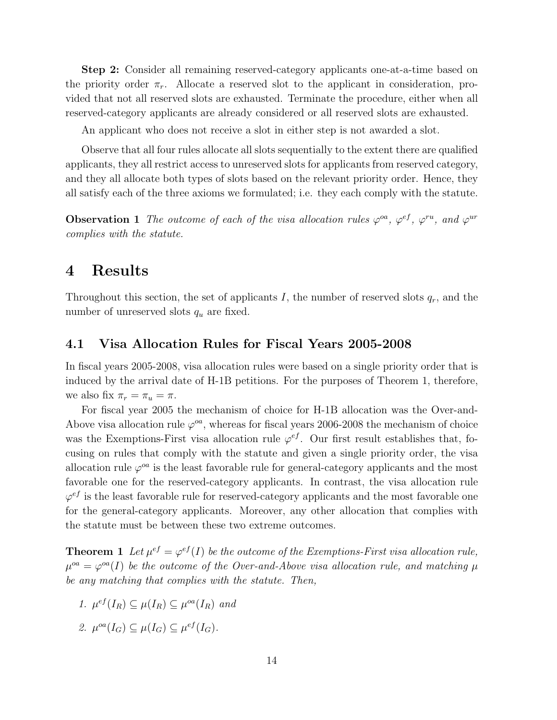Step 2: Consider all remaining reserved-category applicants one-at-a-time based on the priority order  $\pi_r$ . Allocate a reserved slot to the applicant in consideration, provided that not all reserved slots are exhausted. Terminate the procedure, either when all reserved-category applicants are already considered or all reserved slots are exhausted.

An applicant who does not receive a slot in either step is not awarded a slot.

Observe that all four rules allocate all slots sequentially to the extent there are qualified applicants, they all restrict access to unreserved slots for applicants from reserved category, and they all allocate both types of slots based on the relevant priority order. Hence, they all satisfy each of the three axioms we formulated; i.e. they each comply with the statute.

**Observation 1** The outcome of each of the visa allocation rules  $\varphi^{oa}$ ,  $\varphi^{ef}$ ,  $\varphi^{ru}$ , and  $\varphi^{ur}$ complies with the statute.

## 4 Results

Throughout this section, the set of applicants I, the number of reserved slots  $q_r$ , and the number of unreserved slots  $q_u$  are fixed.

## 4.1 Visa Allocation Rules for Fiscal Years 2005-2008

In fiscal years 2005-2008, visa allocation rules were based on a single priority order that is induced by the arrival date of H-1B petitions. For the purposes of Theorem 1, therefore, we also fix  $\pi_r = \pi_u = \pi$ .

For fiscal year 2005 the mechanism of choice for H-1B allocation was the Over-and-Above visa allocation rule  $\varphi^{oa}$ , whereas for fiscal years 2006-2008 the mechanism of choice was the Exemptions-First visa allocation rule  $\varphi^{ef}$ . Our first result establishes that, focusing on rules that comply with the statute and given a single priority order, the visa allocation rule  $\varphi^{oa}$  is the least favorable rule for general-category applicants and the most favorable one for the reserved-category applicants. In contrast, the visa allocation rule  $\varphi^{ef}$  is the least favorable rule for reserved-category applicants and the most favorable one for the general-category applicants. Moreover, any other allocation that complies with the statute must be between these two extreme outcomes.

**Theorem 1** Let  $\mu^{ef} = \varphi^{ef}(I)$  be the outcome of the Exemptions-First visa allocation rule,  $\mu^{oa} = \varphi^{oa}(I)$  be the outcome of the Over-and-Above visa allocation rule, and matching  $\mu$ be any matching that complies with the statute. Then,

1.  $\mu^{ef}(I_R) \subseteq \mu(I_R) \subseteq \mu^{oa}(I_R)$  and 2.  $\mu^{oa}(I_G) \subseteq \mu(I_G) \subseteq \mu^{ef}(I_G)$ .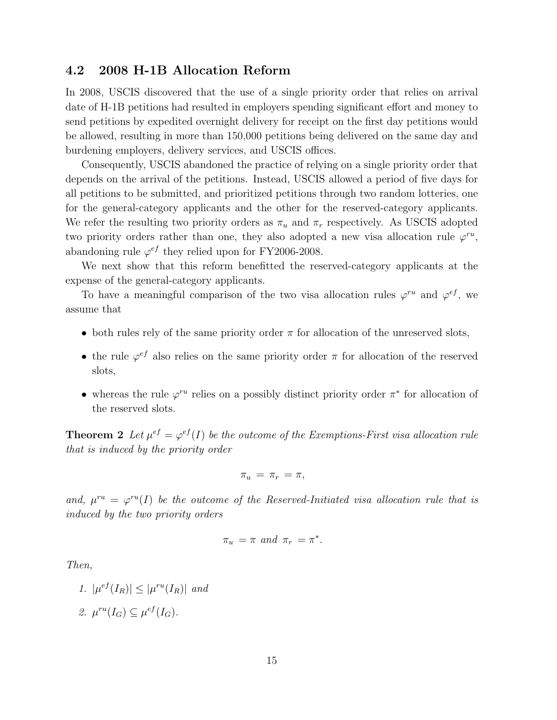### 4.2 2008 H-1B Allocation Reform

In 2008, USCIS discovered that the use of a single priority order that relies on arrival date of H-1B petitions had resulted in employers spending significant effort and money to send petitions by expedited overnight delivery for receipt on the first day petitions would be allowed, resulting in more than 150,000 petitions being delivered on the same day and burdening employers, delivery services, and USCIS offices.

Consequently, USCIS abandoned the practice of relying on a single priority order that depends on the arrival of the petitions. Instead, USCIS allowed a period of five days for all petitions to be submitted, and prioritized petitions through two random lotteries, one for the general-category applicants and the other for the reserved-category applicants. We refer the resulting two priority orders as  $\pi_u$  and  $\pi_r$  respectively. As USCIS adopted two priority orders rather than one, they also adopted a new visa allocation rule  $\varphi^{ru}$ , abandoning rule  $\varphi^{ef}$  they relied upon for FY2006-2008.

We next show that this reform benefitted the reserved-category applicants at the expense of the general-category applicants.

To have a meaningful comparison of the two visa allocation rules  $\varphi^{ru}$  and  $\varphi^{ef}$ , we assume that

- both rules rely of the same priority order  $\pi$  for allocation of the unreserved slots,
- the rule  $\varphi^{ef}$  also relies on the same priority order  $\pi$  for allocation of the reserved slots,
- whereas the rule  $\varphi^{ru}$  relies on a possibly distinct priority order  $\pi^*$  for allocation of the reserved slots.

**Theorem 2** Let  $\mu^{ef} = \varphi^{ef}(I)$  be the outcome of the Exemptions-First visa allocation rule that is induced by the priority order

$$
\pi_u = \pi_r = \pi,
$$

and,  $\mu^{ru} = \varphi^{ru}(I)$  be the outcome of the Reserved-Initiated visa allocation rule that is induced by the two priority orders

$$
\pi_u = \pi \text{ and } \pi_r = \pi^*.
$$

Then,

$$
1. \ |\mu^{ef}(I_R)| \le |\mu^{ru}(I_R)| \ \text{and}
$$

2.  $\mu^{ru}(I_G) \subseteq \mu^{ef}(I_G)$ .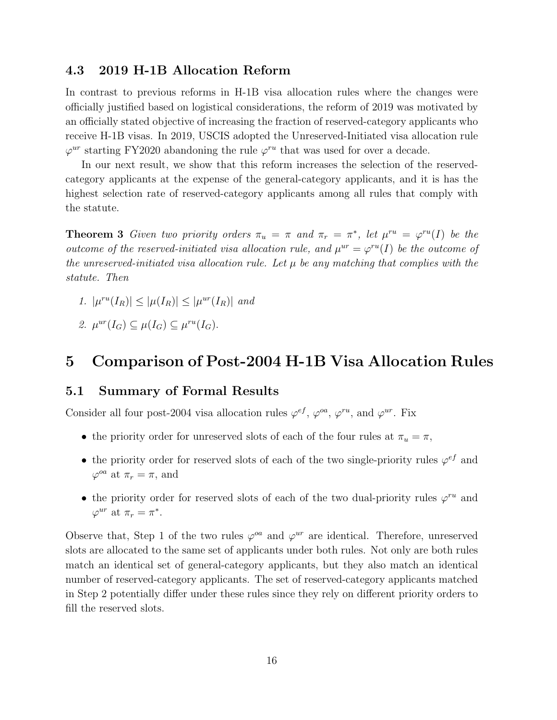## 4.3 2019 H-1B Allocation Reform

In contrast to previous reforms in H-1B visa allocation rules where the changes were officially justified based on logistical considerations, the reform of 2019 was motivated by an officially stated objective of increasing the fraction of reserved-category applicants who receive H-1B visas. In 2019, USCIS adopted the Unreserved-Initiated visa allocation rule  $\varphi^{ur}$  starting FY2020 abandoning the rule  $\varphi^{ru}$  that was used for over a decade.

In our next result, we show that this reform increases the selection of the reservedcategory applicants at the expense of the general-category applicants, and it is has the highest selection rate of reserved-category applicants among all rules that comply with the statute.

**Theorem 3** Given two priority orders  $\pi_u = \pi$  and  $\pi_r = \pi^*$ , let  $\mu^{ru} = \varphi^{ru}(I)$  be the outcome of the reserved-initiated visa allocation rule, and  $\mu^{ur} = \varphi^{ru}(I)$  be the outcome of the unreserved-initiated visa allocation rule. Let  $\mu$  be any matching that complies with the statute. Then

- 1.  $|\mu^{ru}(I_R)| \leq |\mu(I_R)| \leq |\mu^{ur}(I_R)|$  and
- 2.  $\mu^{ur}(I_G) \subseteq \mu(I_G) \subseteq \mu^{ru}(I_G)$ .

# 5 Comparison of Post-2004 H-1B Visa Allocation Rules

## 5.1 Summary of Formal Results

Consider all four post-2004 visa allocation rules  $\varphi^{ef}$ ,  $\varphi^{oa}$ ,  $\varphi^{ru}$ , and  $\varphi^{ur}$ . Fix

- the priority order for unreserved slots of each of the four rules at  $\pi_u = \pi$ ,
- the priority order for reserved slots of each of the two single-priority rules  $\varphi^{ef}$  and  $\varphi^{oa}$  at  $\pi_r = \pi$ , and
- the priority order for reserved slots of each of the two dual-priority rules  $\varphi^{ru}$  and  $\varphi^{ur}$  at  $\pi_r = \pi^*$ .

Observe that, Step 1 of the two rules  $\varphi^{oa}$  and  $\varphi^{ur}$  are identical. Therefore, unreserved slots are allocated to the same set of applicants under both rules. Not only are both rules match an identical set of general-category applicants, but they also match an identical number of reserved-category applicants. The set of reserved-category applicants matched in Step 2 potentially differ under these rules since they rely on different priority orders to fill the reserved slots.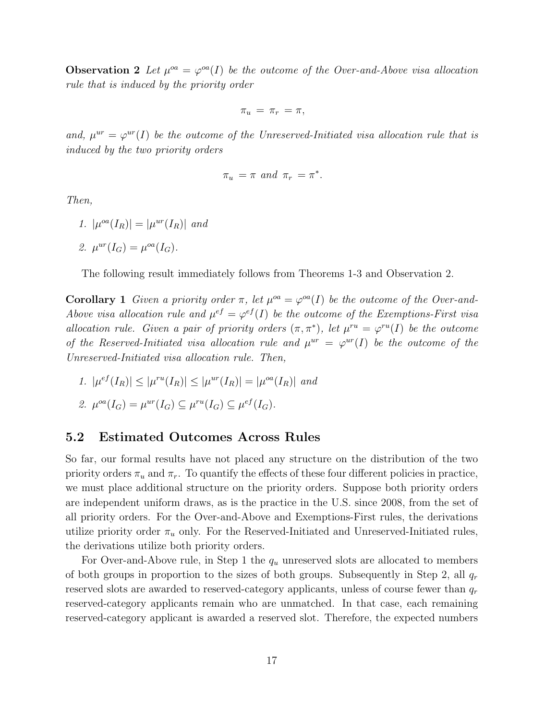**Observation 2** Let  $\mu^{oa} = \varphi^{oa}(I)$  be the outcome of the Over-and-Above visa allocation rule that is induced by the priority order

$$
\pi_u = \pi_r = \pi,
$$

and,  $\mu^{ur} = \varphi^{ur}(I)$  be the outcome of the Unreserved-Initiated visa allocation rule that is induced by the two priority orders

$$
\pi_u = \pi \text{ and } \pi_r = \pi^*.
$$

Then,

1.  $|\mu^{oa}(I_R)| = |\mu^{ur}(I_R)|$  and

$$
\mathcal{Z}.\ \mu^{ur}(I_G) = \mu^{oa}(I_G).
$$

The following result immediately follows from Theorems 1-3 and Observation 2.

**Corollary 1** Given a priority order  $\pi$ , let  $\mu^{oa} = \varphi^{oa}(I)$  be the outcome of the Over-and-Above visa allocation rule and  $\mu^{ef} = \varphi^{ef}(I)$  be the outcome of the Exemptions-First visa allocation rule. Given a pair of priority orders  $(\pi, \pi^*)$ , let  $\mu^{ru} = \varphi^{ru}(I)$  be the outcome of the Reserved-Initiated visa allocation rule and  $\mu^{ur} = \varphi^{ur}(I)$  be the outcome of the Unreserved-Initiated visa allocation rule. Then,

- 1.  $|\mu^{ef}(I_R)| \leq |\mu^{ru}(I_R)| \leq |\mu^{ur}(I_R)| = |\mu^{oa}(I_R)|$  and
- 2.  $\mu^{oa}(I_G) = \mu^{ur}(I_G) \subseteq \mu^{ru}(I_G) \subseteq \mu^{ef}(I_G)$ .

## 5.2 Estimated Outcomes Across Rules

So far, our formal results have not placed any structure on the distribution of the two priority orders  $\pi_u$  and  $\pi_r$ . To quantify the effects of these four different policies in practice, we must place additional structure on the priority orders. Suppose both priority orders are independent uniform draws, as is the practice in the U.S. since 2008, from the set of all priority orders. For the Over-and-Above and Exemptions-First rules, the derivations utilize priority order  $\pi_u$  only. For the Reserved-Initiated and Unreserved-Initiated rules, the derivations utilize both priority orders.

For Over-and-Above rule, in Step 1 the  $q_u$  unreserved slots are allocated to members of both groups in proportion to the sizes of both groups. Subsequently in Step 2, all  $q_r$ reserved slots are awarded to reserved-category applicants, unless of course fewer than  $q_r$ reserved-category applicants remain who are unmatched. In that case, each remaining reserved-category applicant is awarded a reserved slot. Therefore, the expected numbers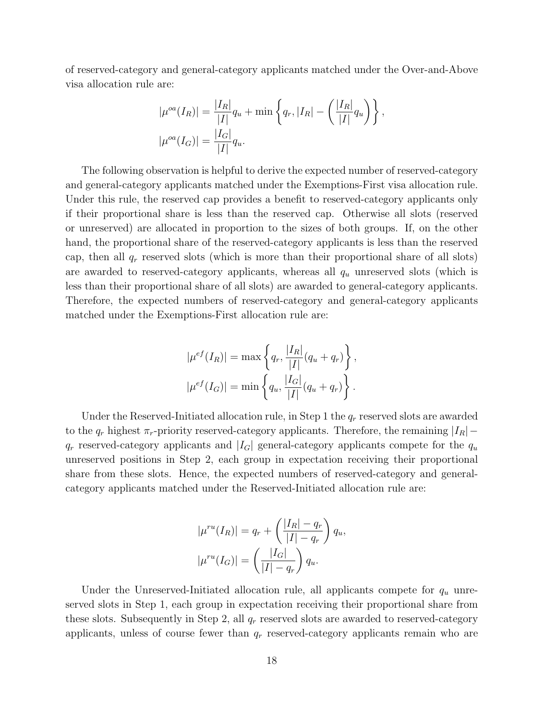of reserved-category and general-category applicants matched under the Over-and-Above visa allocation rule are:

$$
|\mu^{oa}(I_R)| = \frac{|I_R|}{|I|} q_u + \min \left\{ q_r, |I_R| - \left( \frac{|I_R|}{|I|} q_u \right) \right\},
$$
  

$$
|\mu^{oa}(I_G)| = \frac{|I_G|}{|I|} q_u.
$$

The following observation is helpful to derive the expected number of reserved-category and general-category applicants matched under the Exemptions-First visa allocation rule. Under this rule, the reserved cap provides a benefit to reserved-category applicants only if their proportional share is less than the reserved cap. Otherwise all slots (reserved or unreserved) are allocated in proportion to the sizes of both groups. If, on the other hand, the proportional share of the reserved-category applicants is less than the reserved cap, then all  $q_r$  reserved slots (which is more than their proportional share of all slots) are awarded to reserved-category applicants, whereas all  $q_u$  unreserved slots (which is less than their proportional share of all slots) are awarded to general-category applicants. Therefore, the expected numbers of reserved-category and general-category applicants matched under the Exemptions-First allocation rule are:

$$
|\mu^{ef}(I_R)| = \max \left\{ q_r, \frac{|I_R|}{|I|} (q_u + q_r) \right\},
$$
  

$$
|\mu^{ef}(I_G)| = \min \left\{ q_u, \frac{|I_G|}{|I|} (q_u + q_r) \right\}.
$$

Under the Reserved-Initiated allocation rule, in Step 1 the  $q_r$  reserved slots are awarded to the  $q_r$  highest  $\pi_r$ -priority reserved-category applicants. Therefore, the remaining  $|I_R|$  –  $q_r$  reserved-category applicants and  $|I_G|$  general-category applicants compete for the  $q_u$ unreserved positions in Step 2, each group in expectation receiving their proportional share from these slots. Hence, the expected numbers of reserved-category and generalcategory applicants matched under the Reserved-Initiated allocation rule are:

$$
|\mu^{ru}(I_R)| = q_r + \left(\frac{|I_R| - q_r}{|I| - q_r}\right) q_u,
$$

$$
|\mu^{ru}(I_G)| = \left(\frac{|I_G|}{|I| - q_r}\right) q_u.
$$

Under the Unreserved-Initiated allocation rule, all applicants compete for  $q_u$  unreserved slots in Step 1, each group in expectation receiving their proportional share from these slots. Subsequently in Step 2, all  $q_r$  reserved slots are awarded to reserved-category applicants, unless of course fewer than  $q_r$  reserved-category applicants remain who are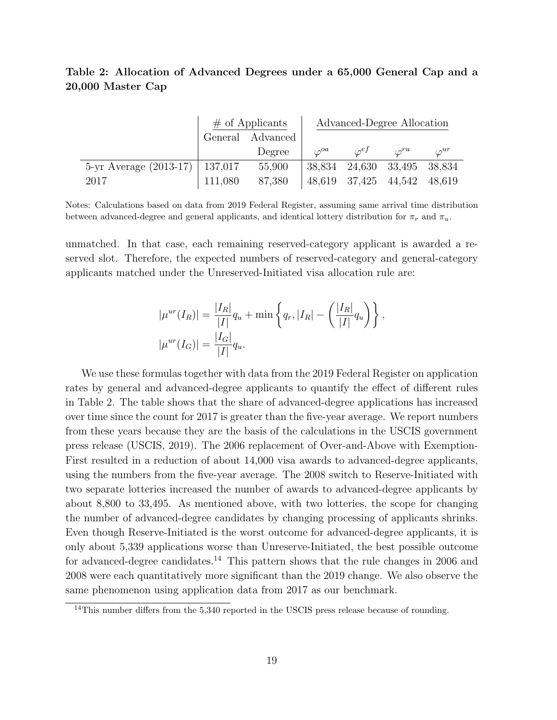## Table 2: Allocation of Advanced Degrees under a 65,000 General Cap and a 20,000 Master Cap

|                                    | $#$ of Applicants |                  | Advanced-Degree Allocation |                             |               |                |
|------------------------------------|-------------------|------------------|----------------------------|-----------------------------|---------------|----------------|
|                                    |                   | General Advanced |                            |                             |               |                |
|                                    |                   | Degree           | $\varphi^{oa}$             | $\sigma^{ef}$               | $\sigma^{ru}$ | $\varphi^{ur}$ |
| 5-yr Average $(2013-17)$   137,017 |                   | 55,900           |                            | 38,834 24,630 33,495 38,834 |               |                |
| 2017                               | 111,080           | 87,380           |                            | 48,619 37,425               | 44,542        | 48.619         |

Notes: Calculations based on data from 2019 Federal Register, assuming same arrival time distribution between advanced-degree and general applicants, and identical lottery distribution for  $\pi_r$  and  $\pi_u$ .

unmatched. In that case, each remaining reserved-category applicant is awarded a reserved slot. Therefore, the expected numbers of reserved-category and general-category applicants matched under the Unreserved-Initiated visa allocation rule are:

$$
|\mu^{ur}(I_R)| = \frac{|I_R|}{|I|} q_u + \min \left\{ q_r, |I_R| - \left( \frac{|I_R|}{|I|} q_u \right) \right\},
$$
  

$$
|\mu^{ur}(I_G)| = \frac{|I_G|}{|I|} q_u.
$$

We use these formulas together with data from the 2019 Federal Register on application rates by general and advanced-degree applicants to quantify the effect of different rules in Table 2. The table shows that the share of advanced-degree applications has increased over time since the count for 2017 is greater than the five-year average. We report numbers from these years because they are the basis of the calculations in the USCIS government press release (USCIS, 2019). The 2006 replacement of Over-and-Above with Exemption-First resulted in a reduction of about 14,000 visa awards to advanced-degree applicants, using the numbers from the five-year average. The 2008 switch to Reserve-Initiated with two separate lotteries increased the number of awards to advanced-degree applicants by about 8,800 to 33,495. As mentioned above, with two lotteries, the scope for changing the number of advanced-degree candidates by changing processing of applicants shrinks. Even though Reserve-Initiated is the worst outcome for advanced-degree applicants, it is only about 5,339 applications worse than Unreserve-Initiated, the best possible outcome for advanced-degree candidates.<sup>14</sup> This pattern shows that the rule changes in 2006 and 2008 were each quantitatively more significant than the 2019 change. We also observe the same phenomenon using application data from 2017 as our benchmark.

<sup>&</sup>lt;sup>14</sup>This number differs from the 5,340 reported in the USCIS press release because of rounding.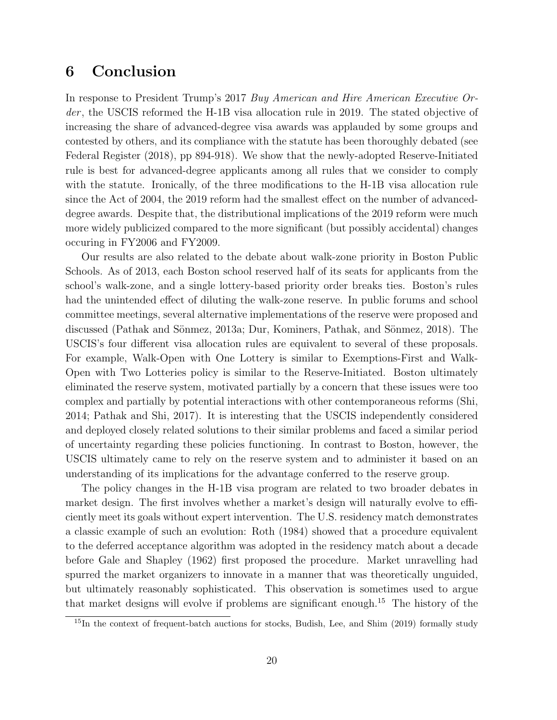# 6 Conclusion

In response to President Trump's 2017 Buy American and Hire American Executive Order, the USCIS reformed the H-1B visa allocation rule in 2019. The stated objective of increasing the share of advanced-degree visa awards was applauded by some groups and contested by others, and its compliance with the statute has been thoroughly debated (see Federal Register (2018), pp 894-918). We show that the newly-adopted Reserve-Initiated rule is best for advanced-degree applicants among all rules that we consider to comply with the statute. Ironically, of the three modifications to the H-1B visa allocation rule since the Act of 2004, the 2019 reform had the smallest effect on the number of advanceddegree awards. Despite that, the distributional implications of the 2019 reform were much more widely publicized compared to the more significant (but possibly accidental) changes occuring in FY2006 and FY2009.

Our results are also related to the debate about walk-zone priority in Boston Public Schools. As of 2013, each Boston school reserved half of its seats for applicants from the school's walk-zone, and a single lottery-based priority order breaks ties. Boston's rules had the unintended effect of diluting the walk-zone reserve. In public forums and school committee meetings, several alternative implementations of the reserve were proposed and discussed (Pathak and Sönmez, 2013a; Dur, Kominers, Pathak, and Sönmez, 2018). The USCIS's four different visa allocation rules are equivalent to several of these proposals. For example, Walk-Open with One Lottery is similar to Exemptions-First and Walk-Open with Two Lotteries policy is similar to the Reserve-Initiated. Boston ultimately eliminated the reserve system, motivated partially by a concern that these issues were too complex and partially by potential interactions with other contemporaneous reforms (Shi, 2014; Pathak and Shi, 2017). It is interesting that the USCIS independently considered and deployed closely related solutions to their similar problems and faced a similar period of uncertainty regarding these policies functioning. In contrast to Boston, however, the USCIS ultimately came to rely on the reserve system and to administer it based on an understanding of its implications for the advantage conferred to the reserve group.

The policy changes in the H-1B visa program are related to two broader debates in market design. The first involves whether a market's design will naturally evolve to efficiently meet its goals without expert intervention. The U.S. residency match demonstrates a classic example of such an evolution: Roth (1984) showed that a procedure equivalent to the deferred acceptance algorithm was adopted in the residency match about a decade before Gale and Shapley (1962) first proposed the procedure. Market unravelling had spurred the market organizers to innovate in a manner that was theoretically unguided, but ultimately reasonably sophisticated. This observation is sometimes used to argue that market designs will evolve if problems are significant enough.<sup>15</sup> The history of the

 $15$ In the context of frequent-batch auctions for stocks, Budish, Lee, and Shim (2019) formally study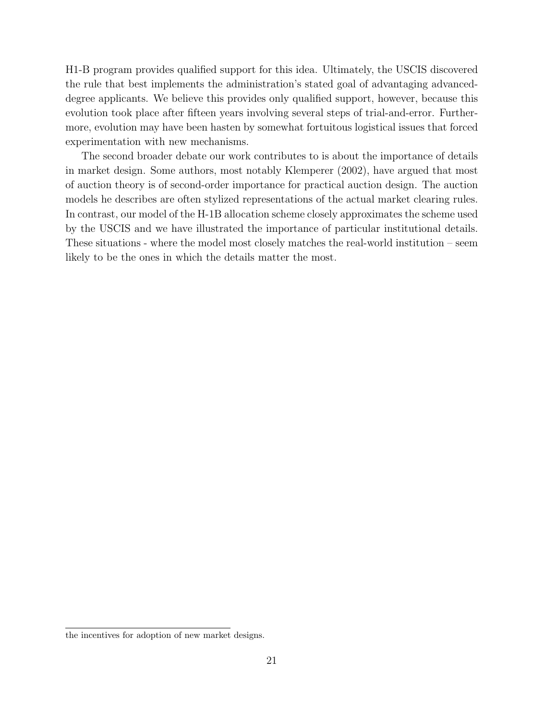H1-B program provides qualified support for this idea. Ultimately, the USCIS discovered the rule that best implements the administration's stated goal of advantaging advanceddegree applicants. We believe this provides only qualified support, however, because this evolution took place after fifteen years involving several steps of trial-and-error. Furthermore, evolution may have been hasten by somewhat fortuitous logistical issues that forced experimentation with new mechanisms.

The second broader debate our work contributes to is about the importance of details in market design. Some authors, most notably Klemperer (2002), have argued that most of auction theory is of second-order importance for practical auction design. The auction models he describes are often stylized representations of the actual market clearing rules. In contrast, our model of the H-1B allocation scheme closely approximates the scheme used by the USCIS and we have illustrated the importance of particular institutional details. These situations - where the model most closely matches the real-world institution – seem likely to be the ones in which the details matter the most.

the incentives for adoption of new market designs.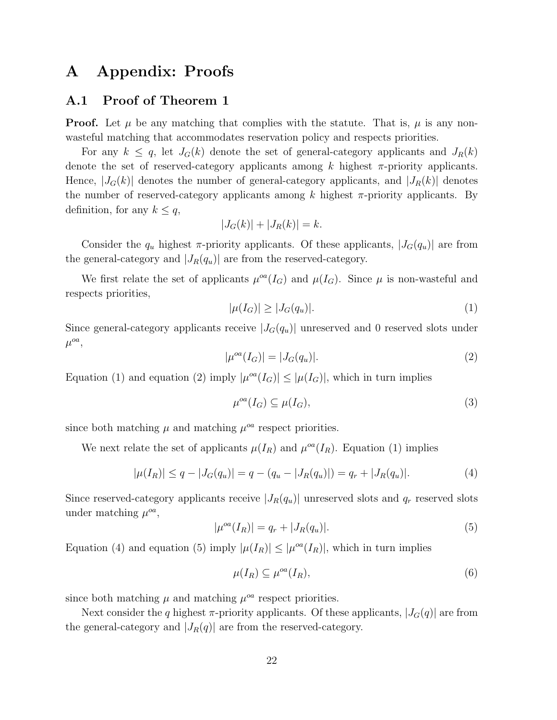# A Appendix: Proofs

## A.1 Proof of Theorem 1

**Proof.** Let  $\mu$  be any matching that complies with the statute. That is,  $\mu$  is any nonwasteful matching that accommodates reservation policy and respects priorities.

For any  $k \leq q$ , let  $J_G(k)$  denote the set of general-category applicants and  $J_R(k)$ denote the set of reserved-category applicants among  $k$  highest  $\pi$ -priority applicants. Hence,  $|J_G(k)|$  denotes the number of general-category applicants, and  $|J_R(k)|$  denotes the number of reserved-category applicants among k highest  $\pi$ -priority applicants. By definition, for any  $k \leq q$ ,

$$
|J_G(k)| + |J_R(k)| = k.
$$

Consider the  $q_u$  highest  $\pi$ -priority applicants. Of these applicants,  $|J_G(q_u)|$  are from the general-category and  $|J_R(q_u)|$  are from the reserved-category.

We first relate the set of applicants  $\mu^{oa}(I_G)$  and  $\mu(I_G)$ . Since  $\mu$  is non-wasteful and respects priorities,

$$
|\mu(I_G)| \ge |J_G(q_u)|. \tag{1}
$$

Since general-category applicants receive  $|J_G(q_u)|$  unreserved and 0 reserved slots under  $\mu^{oa}$ ,

$$
|\mu^{oa}(I_G)| = |J_G(q_u)|. \tag{2}
$$

Equation (1) and equation (2) imply  $|\mu^{oa}(I_G)| \leq |\mu(I_G)|$ , which in turn implies

$$
\mu^{oa}(I_G) \subseteq \mu(I_G),\tag{3}
$$

since both matching  $\mu$  and matching  $\mu^{oa}$  respect priorities.

We next relate the set of applicants  $\mu(I_R)$  and  $\mu^{oa}(I_R)$ . Equation (1) implies

$$
|\mu(I_R)| \le q - |J_G(q_u)| = q - (q_u - |J_R(q_u)|) = q_r + |J_R(q_u)|.
$$
\n(4)

Since reserved-category applicants receive  $|J_R(q_u)|$  unreserved slots and  $q_r$  reserved slots under matching  $\mu^{oa}$ ,

$$
|\mu^{oa}(I_R)| = q_r + |J_R(q_u)|. \tag{5}
$$

Equation (4) and equation (5) imply  $|\mu(I_R)| \leq |\mu^{oa}(I_R)|$ , which in turn implies

$$
\mu(I_R) \subseteq \mu^{oa}(I_R),\tag{6}
$$

since both matching  $\mu$  and matching  $\mu^{oa}$  respect priorities.

Next consider the q highest  $\pi$ -priority applicants. Of these applicants,  $|J_G(q)|$  are from the general-category and  $|J_R(q)|$  are from the reserved-category.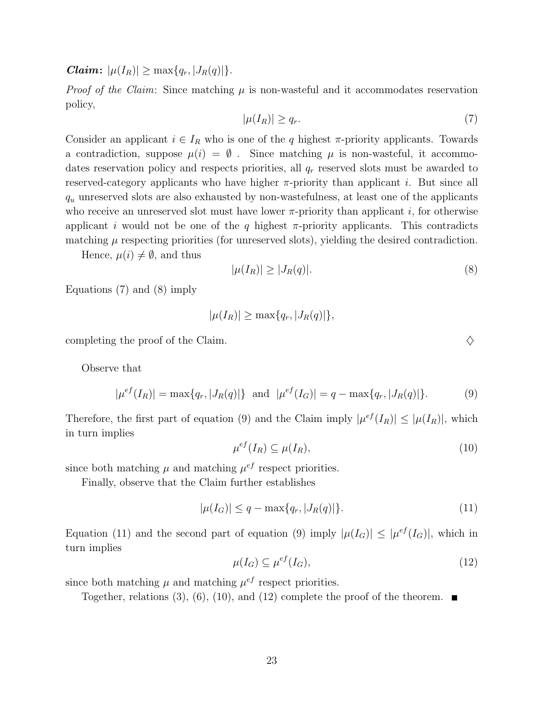*Claim:*  $|\mu(I_R)| \ge \max\{q_r, |J_R(q)|\}.$ 

*Proof of the Claim:* Since matching  $\mu$  is non-wasteful and it accommodates reservation policy,

$$
|\mu(I_R)| \ge q_r. \tag{7}
$$

Consider an applicant  $i \in I_R$  who is one of the q highest  $\pi$ -priority applicants. Towards a contradiction, suppose  $\mu(i) = \emptyset$ . Since matching  $\mu$  is non-wasteful, it accommodates reservation policy and respects priorities, all  $q_r$  reserved slots must be awarded to reserved-category applicants who have higher  $\pi$ -priority than applicant *i*. But since all  $q_u$  unreserved slots are also exhausted by non-wastefulness, at least one of the applicants who receive an unreserved slot must have lower  $\pi$ -priority than applicant i, for otherwise applicant i would not be one of the q highest  $\pi$ -priority applicants. This contradicts matching  $\mu$  respecting priorities (for unreserved slots), yielding the desired contradiction.

Hence,  $\mu(i) \neq \emptyset$ , and thus

$$
|\mu(I_R)| \ge |J_R(q)|. \tag{8}
$$

Equations (7) and (8) imply

$$
|\mu(I_R)| \ge \max\{q_r, |J_R(q)|\},\
$$

completing the proof of the Claim.  $\diamondsuit$ 

Observe that

$$
|\mu^{ef}(I_R)| = \max\{q_r, |J_R(q)|\} \text{ and } |\mu^{ef}(I_G)| = q - \max\{q_r, |J_R(q)|\}.
$$
 (9)

Therefore, the first part of equation (9) and the Claim imply  $|\mu^{ef}(I_R)| \leq |\mu(I_R)|$ , which in turn implies

$$
\mu^{ef}(I_R) \subseteq \mu(I_R),\tag{10}
$$

since both matching  $\mu$  and matching  $\mu^{ef}$  respect priorities.

Finally, observe that the Claim further establishes

$$
|\mu(I_G)| \le q - \max\{q_r, |J_R(q)|\}.
$$
 (11)

Equation (11) and the second part of equation (9) imply  $|\mu(I_G)| \leq |\mu^{ef}(I_G)|$ , which in turn implies

$$
\mu(I_G) \subseteq \mu^{ef}(I_G),\tag{12}
$$

since both matching  $\mu$  and matching  $\mu^{ef}$  respect priorities.

Together, relations (3), (6), (10), and (12) complete the proof of the theorem.  $\blacksquare$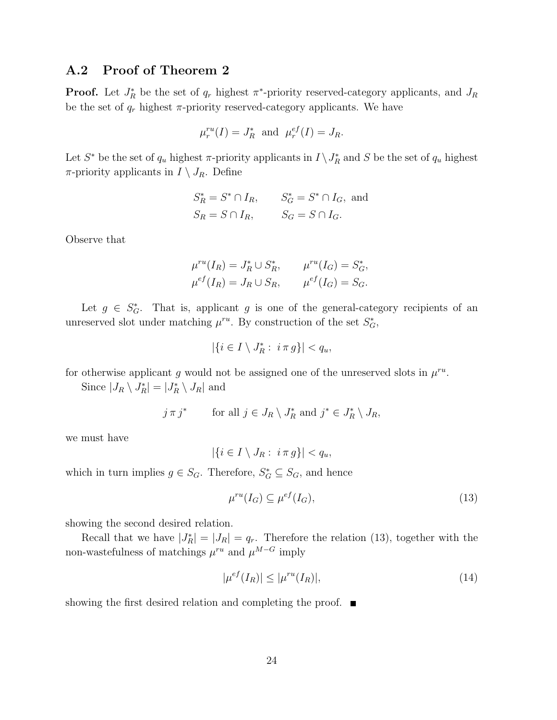## A.2 Proof of Theorem 2

**Proof.** Let  $J_R^*$  be the set of  $q_r$  highest  $\pi^*$ -priority reserved-category applicants, and  $J_R$ be the set of  $q_r$  highest  $\pi$ -priority reserved-category applicants. We have

$$
\mu_r^{ru}(I) = J_R^*
$$
 and  $\mu_r^{ef}(I) = J_R$ .

Let  $S^*$  be the set of  $q_u$  highest  $\pi$ -priority applicants in  $I \setminus J_R^*$  and  $S$  be the set of  $q_u$  highest  $\pi$ -priority applicants in  $I \setminus J_R$ . Define

$$
S_R^* = S^* \cap I_R, \t S_G^* = S^* \cap I_G, \text{ and}
$$
  

$$
S_R = S \cap I_R, \t S_G = S \cap I_G.
$$

Observe that

$$
\mu^{ru}(I_R) = J_R^* \cup S_R^*, \qquad \mu^{ru}(I_G) = S_G^*,
$$
  

$$
\mu^{ef}(I_R) = J_R \cup S_R, \qquad \mu^{ef}(I_G) = S_G.
$$

Let  $g \in S^*_G$ . That is, applicant g is one of the general-category recipients of an unreserved slot under matching  $\mu^{ru}$ . By construction of the set  $S_G^*$ ,

$$
|\{i\in I\setminus J^*_R:\ i\,\pi\,g\}|
$$

for otherwise applicant g would not be assigned one of the unreserved slots in  $\mu^{ru}$ .

Since  $|J_R \setminus J_R^*| = |J_R^* \setminus J_R|$  and

$$
j \pi j^*
$$
 for all  $j \in J_R \setminus J_R^*$  and  $j^* \in J_R^* \setminus J_R$ ,

we must have

$$
|\{i\in I\setminus J_R:\ i\pi g\}|
$$

which in turn implies  $g \in S_G$ . Therefore,  $S_G^* \subseteq S_G$ , and hence

$$
\mu^{ru}(I_G) \subseteq \mu^{ef}(I_G),\tag{13}
$$

showing the second desired relation.

Recall that we have  $|J_R^*| = |J_R| = q_r$ . Therefore the relation (13), together with the non-wastefulness of matchings  $\mu^{ru}$  and  $\mu^{M-G}$  imply

$$
|\mu^{ef}(I_R)| \le |\mu^{ru}(I_R)|,\tag{14}
$$

showing the first desired relation and completing the proof.  $\blacksquare$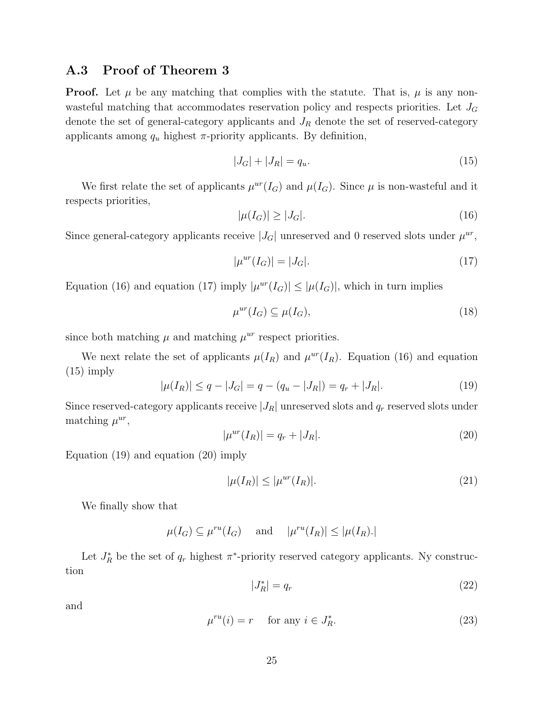## A.3 Proof of Theorem 3

**Proof.** Let  $\mu$  be any matching that complies with the statute. That is,  $\mu$  is any nonwasteful matching that accommodates reservation policy and respects priorities. Let  $J_G$ denote the set of general-category applicants and  $J_R$  denote the set of reserved-category applicants among  $q_u$  highest  $\pi$ -priority applicants. By definition,

$$
|J_G| + |J_R| = q_u.
$$
\n(15)

We first relate the set of applicants  $\mu^{ur}(I_G)$  and  $\mu(I_G)$ . Since  $\mu$  is non-wasteful and it respects priorities,

$$
|\mu(I_G)| \ge |J_G|.\tag{16}
$$

Since general-category applicants receive  $|J_G|$  unreserved and 0 reserved slots under  $\mu^{ur}$ ,

$$
|\mu^{ur}(I_G)| = |J_G|.\t(17)
$$

Equation (16) and equation (17) imply  $|\mu^{ur}(I_G)| \leq |\mu(I_G)|$ , which in turn implies

$$
\mu^{ur}(I_G) \subseteq \mu(I_G),\tag{18}
$$

since both matching  $\mu$  and matching  $\mu^{ur}$  respect priorities.

We next relate the set of applicants  $\mu(I_R)$  and  $\mu^{ur}(I_R)$ . Equation (16) and equation (15) imply

$$
|\mu(I_R)| \le q - |J_G| = q - (q_u - |J_R|) = q_r + |J_R|.
$$
\n(19)

Since reserved-category applicants receive  $|J_R|$  unreserved slots and  $q_r$  reserved slots under matching  $\mu^{ur}$ ,

$$
|\mu^{ur}(I_R)| = q_r + |J_R|.\t\t(20)
$$

Equation (19) and equation (20) imply

$$
|\mu(I_R)| \le |\mu^{ur}(I_R)|. \tag{21}
$$

We finally show that

 $\mu(I_G) \subseteq \mu^{ru}(I_G)$  and  $|\mu^{ru}(I_R)| \leq |\mu(I_R).|$ 

Let  $J_R^*$  be the set of  $q_r$  highest  $\pi^*$ -priority reserved category applicants. Ny construction

$$
|J_R^*| = q_r \tag{22}
$$

and

$$
\mu^{ru}(i) = r \quad \text{ for any } i \in J_R^*.
$$
 (23)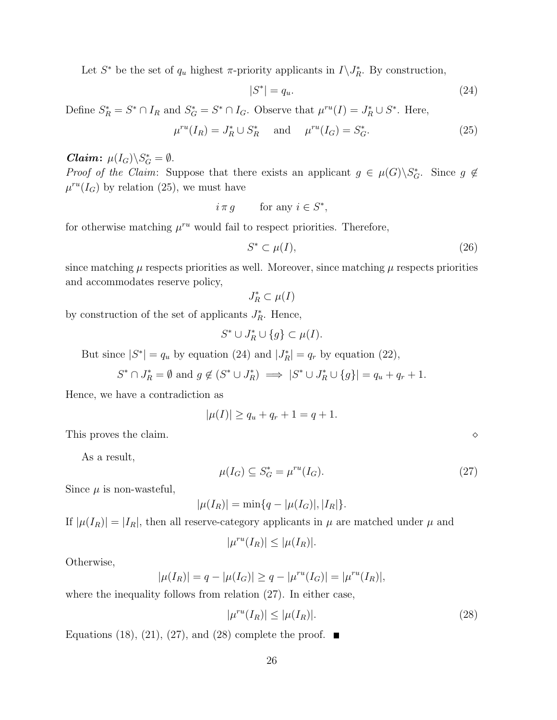Let  $S^*$  be the set of  $q_u$  highest  $\pi$ -priority applicants in  $I \setminus J_R^*$ . By construction,

$$
|S^*| = q_u. \tag{24}
$$

Define  $S_R^* = S^* \cap I_R$  and  $S_G^* = S^* \cap I_G$ . Observe that  $\mu^{ru}(I) = J_R^* \cup S^*$ . Here,

$$
\mu^{ru}(I_R) = J_R^* \cup S_R^* \quad \text{and} \quad \mu^{ru}(I_G) = S_G^*.
$$
 (25)

## *Claim:*  $\mu(I_G)\backslash S_G^* = \emptyset$ .

*Proof of the Claim:* Suppose that there exists an applicant  $g \in \mu(G) \backslash S_G^*$ . Since  $g \notin$  $\mu^{ru}(I_G)$  by relation (25), we must have

$$
i \pi g \qquad \text{for any } i \in S^*,
$$

for otherwise matching  $\mu^{ru}$  would fail to respect priorities. Therefore,

$$
S^* \subset \mu(I),\tag{26}
$$

since matching  $\mu$  respects priorities as well. Moreover, since matching  $\mu$  respects priorities and accommodates reserve policy,

$$
J^*_R\subset \mu(I)
$$

by construction of the set of applicants  $J_R^*$ . Hence,

$$
S^* \cup J_R^* \cup \{g\} \subset \mu(I).
$$

But since  $|S^*| = q_u$  by equation (24) and  $|J_R^*| = q_r$  by equation (22),

$$
S^* \cap J_R^* = \emptyset \text{ and } g \notin (S^* \cup J_R^*) \implies |S^* \cup J_R^* \cup \{g\}| = q_u + q_r + 1.
$$

Hence, we have a contradiction as

$$
|\mu(I)| \ge q_u + q_r + 1 = q + 1.
$$

This proves the claim.

As a result,

$$
\mu(I_G) \subseteq S_G^* = \mu^{ru}(I_G). \tag{27}
$$

Since  $\mu$  is non-wasteful,

$$
|\mu(I_R)| = \min\{q - |\mu(I_G)|, |I_R|\}.
$$

If  $|\mu(I_R)| = |I_R|$ , then all reserve-category applicants in  $\mu$  are matched under  $\mu$  and

$$
|\mu^{ru}(I_R)| \le |\mu(I_R)|.
$$

Otherwise,

$$
|\mu(I_R)| = q - |\mu(I_G)| \ge q - |\mu^{ru}(I_G)| = |\mu^{ru}(I_R)|,
$$

where the inequality follows from relation  $(27)$ . In either case,

$$
|\mu^{ru}(I_R)| \le |\mu(I_R)|. \tag{28}
$$

Equations (18), (21), (27), and (28) complete the proof.  $\blacksquare$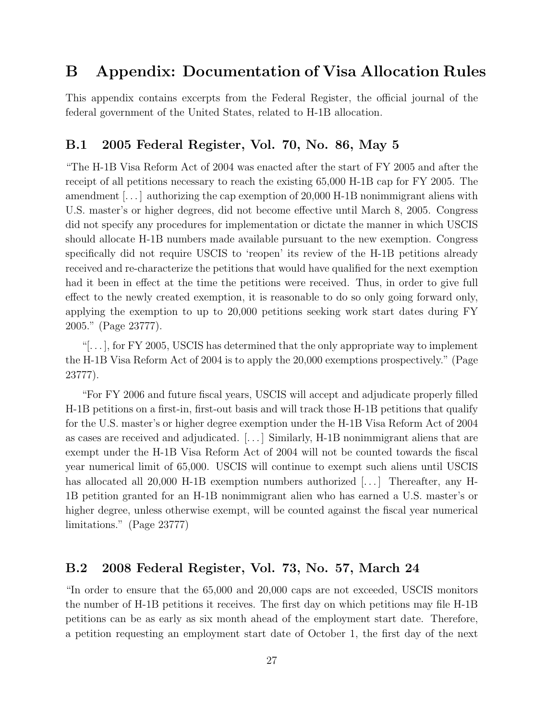# B Appendix: Documentation of Visa Allocation Rules

This appendix contains excerpts from the Federal Register, the official journal of the federal government of the United States, related to H-1B allocation.

## B.1 2005 Federal Register, Vol. 70, No. 86, May 5

"The H-1B Visa Reform Act of 2004 was enacted after the start of FY 2005 and after the receipt of all petitions necessary to reach the existing 65,000 H-1B cap for FY 2005. The amendment [. . . ] authorizing the cap exemption of 20,000 H-1B nonimmigrant aliens with U.S. master's or higher degrees, did not become effective until March 8, 2005. Congress did not specify any procedures for implementation or dictate the manner in which USCIS should allocate H-1B numbers made available pursuant to the new exemption. Congress specifically did not require USCIS to 'reopen' its review of the H-1B petitions already received and re-characterize the petitions that would have qualified for the next exemption had it been in effect at the time the petitions were received. Thus, in order to give full effect to the newly created exemption, it is reasonable to do so only going forward only, applying the exemption to up to 20,000 petitions seeking work start dates during FY 2005." (Page 23777).

"[ $\dots$ ], for FY 2005, USCIS has determined that the only appropriate way to implement the H-1B Visa Reform Act of 2004 is to apply the 20,000 exemptions prospectively." (Page 23777).

"For FY 2006 and future fiscal years, USCIS will accept and adjudicate properly filled H-1B petitions on a first-in, first-out basis and will track those H-1B petitions that qualify for the U.S. master's or higher degree exemption under the H-1B Visa Reform Act of 2004 as cases are received and adjudicated. [. . . ] Similarly, H-1B nonimmigrant aliens that are exempt under the H-1B Visa Reform Act of 2004 will not be counted towards the fiscal year numerical limit of 65,000. USCIS will continue to exempt such aliens until USCIS has allocated all 20,000 H-1B exemption numbers authorized [...] Thereafter, any H-1B petition granted for an H-1B nonimmigrant alien who has earned a U.S. master's or higher degree, unless otherwise exempt, will be counted against the fiscal year numerical limitations." (Page 23777)

## B.2 2008 Federal Register, Vol. 73, No. 57, March 24

"In order to ensure that the 65,000 and 20,000 caps are not exceeded, USCIS monitors the number of H-1B petitions it receives. The first day on which petitions may file H-1B petitions can be as early as six month ahead of the employment start date. Therefore, a petition requesting an employment start date of October 1, the first day of the next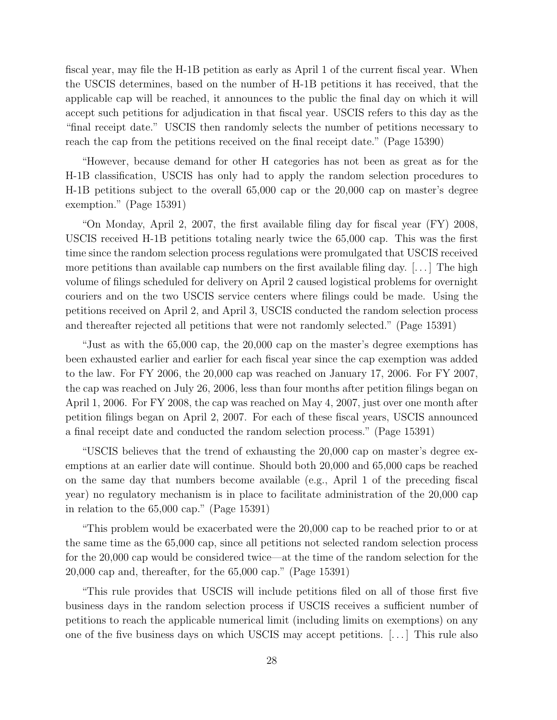fiscal year, may file the H-1B petition as early as April 1 of the current fiscal year. When the USCIS determines, based on the number of H-1B petitions it has received, that the applicable cap will be reached, it announces to the public the final day on which it will accept such petitions for adjudication in that fiscal year. USCIS refers to this day as the "final receipt date." USCIS then randomly selects the number of petitions necessary to reach the cap from the petitions received on the final receipt date." (Page 15390)

"However, because demand for other H categories has not been as great as for the H-1B classification, USCIS has only had to apply the random selection procedures to H-1B petitions subject to the overall 65,000 cap or the 20,000 cap on master's degree exemption." (Page 15391)

"On Monday, April 2, 2007, the first available filing day for fiscal year (FY) 2008, USCIS received H-1B petitions totaling nearly twice the 65,000 cap. This was the first time since the random selection process regulations were promulgated that USCIS received more petitions than available cap numbers on the first available filing day.  $[\dots]$  The high volume of filings scheduled for delivery on April 2 caused logistical problems for overnight couriers and on the two USCIS service centers where filings could be made. Using the petitions received on April 2, and April 3, USCIS conducted the random selection process and thereafter rejected all petitions that were not randomly selected." (Page 15391)

"Just as with the 65,000 cap, the 20,000 cap on the master's degree exemptions has been exhausted earlier and earlier for each fiscal year since the cap exemption was added to the law. For FY 2006, the 20,000 cap was reached on January 17, 2006. For FY 2007, the cap was reached on July 26, 2006, less than four months after petition filings began on April 1, 2006. For FY 2008, the cap was reached on May 4, 2007, just over one month after petition filings began on April 2, 2007. For each of these fiscal years, USCIS announced a final receipt date and conducted the random selection process." (Page 15391)

"USCIS believes that the trend of exhausting the 20,000 cap on master's degree exemptions at an earlier date will continue. Should both 20,000 and 65,000 caps be reached on the same day that numbers become available (e.g., April 1 of the preceding fiscal year) no regulatory mechanism is in place to facilitate administration of the 20,000 cap in relation to the 65,000 cap." (Page 15391)

"This problem would be exacerbated were the 20,000 cap to be reached prior to or at the same time as the 65,000 cap, since all petitions not selected random selection process for the 20,000 cap would be considered twice—at the time of the random selection for the 20,000 cap and, thereafter, for the 65,000 cap." (Page 15391)

"This rule provides that USCIS will include petitions filed on all of those first five business days in the random selection process if USCIS receives a sufficient number of petitions to reach the applicable numerical limit (including limits on exemptions) on any one of the five business days on which USCIS may accept petitions. [. . . ] This rule also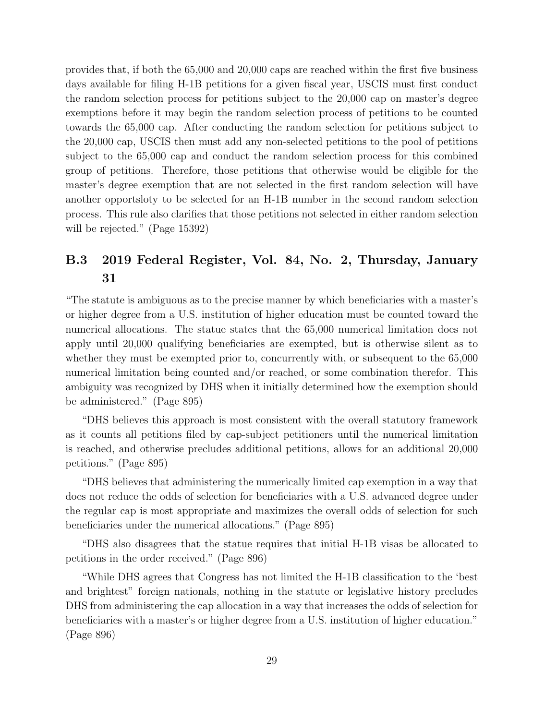provides that, if both the 65,000 and 20,000 caps are reached within the first five business days available for filing H-1B petitions for a given fiscal year, USCIS must first conduct the random selection process for petitions subject to the 20,000 cap on master's degree exemptions before it may begin the random selection process of petitions to be counted towards the 65,000 cap. After conducting the random selection for petitions subject to the 20,000 cap, USCIS then must add any non-selected petitions to the pool of petitions subject to the 65,000 cap and conduct the random selection process for this combined group of petitions. Therefore, those petitions that otherwise would be eligible for the master's degree exemption that are not selected in the first random selection will have another opportsloty to be selected for an H-1B number in the second random selection process. This rule also clarifies that those petitions not selected in either random selection will be rejected." (Page 15392)

# B.3 2019 Federal Register, Vol. 84, No. 2, Thursday, January 31

"The statute is ambiguous as to the precise manner by which beneficiaries with a master's or higher degree from a U.S. institution of higher education must be counted toward the numerical allocations. The statue states that the 65,000 numerical limitation does not apply until 20,000 qualifying beneficiaries are exempted, but is otherwise silent as to whether they must be exempted prior to, concurrently with, or subsequent to the 65,000 numerical limitation being counted and/or reached, or some combination therefor. This ambiguity was recognized by DHS when it initially determined how the exemption should be administered." (Page 895)

"DHS believes this approach is most consistent with the overall statutory framework as it counts all petitions filed by cap-subject petitioners until the numerical limitation is reached, and otherwise precludes additional petitions, allows for an additional 20,000 petitions." (Page 895)

"DHS believes that administering the numerically limited cap exemption in a way that does not reduce the odds of selection for beneficiaries with a U.S. advanced degree under the regular cap is most appropriate and maximizes the overall odds of selection for such beneficiaries under the numerical allocations." (Page 895)

"DHS also disagrees that the statue requires that initial H-1B visas be allocated to petitions in the order received." (Page 896)

"While DHS agrees that Congress has not limited the H-1B classification to the 'best and brightest" foreign nationals, nothing in the statute or legislative history precludes DHS from administering the cap allocation in a way that increases the odds of selection for beneficiaries with a master's or higher degree from a U.S. institution of higher education." (Page 896)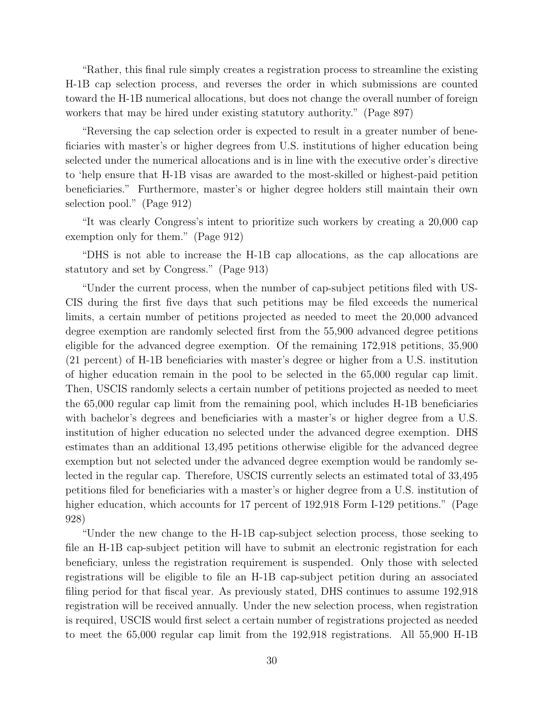"Rather, this final rule simply creates a registration process to streamline the existing H-1B cap selection process, and reverses the order in which submissions are counted toward the H-1B numerical allocations, but does not change the overall number of foreign workers that may be hired under existing statutory authority." (Page 897)

"Reversing the cap selection order is expected to result in a greater number of beneficiaries with master's or higher degrees from U.S. institutions of higher education being selected under the numerical allocations and is in line with the executive order's directive to 'help ensure that H-1B visas are awarded to the most-skilled or highest-paid petition beneficiaries." Furthermore, master's or higher degree holders still maintain their own selection pool." (Page 912)

"It was clearly Congress's intent to prioritize such workers by creating a 20,000 cap exemption only for them." (Page 912)

"DHS is not able to increase the H-1B cap allocations, as the cap allocations are statutory and set by Congress." (Page 913)

"Under the current process, when the number of cap-subject petitions filed with US-CIS during the first five days that such petitions may be filed exceeds the numerical limits, a certain number of petitions projected as needed to meet the 20,000 advanced degree exemption are randomly selected first from the 55,900 advanced degree petitions eligible for the advanced degree exemption. Of the remaining 172,918 petitions, 35,900 (21 percent) of H-1B beneficiaries with master's degree or higher from a U.S. institution of higher education remain in the pool to be selected in the 65,000 regular cap limit. Then, USCIS randomly selects a certain number of petitions projected as needed to meet the 65,000 regular cap limit from the remaining pool, which includes H-1B beneficiaries with bachelor's degrees and beneficiaries with a master's or higher degree from a U.S. institution of higher education no selected under the advanced degree exemption. DHS estimates than an additional 13,495 petitions otherwise eligible for the advanced degree exemption but not selected under the advanced degree exemption would be randomly selected in the regular cap. Therefore, USCIS currently selects an estimated total of 33,495 petitions filed for beneficiaries with a master's or higher degree from a U.S. institution of higher education, which accounts for 17 percent of 192,918 Form I-129 petitions." (Page 928)

"Under the new change to the H-1B cap-subject selection process, those seeking to file an H-1B cap-subject petition will have to submit an electronic registration for each beneficiary, unless the registration requirement is suspended. Only those with selected registrations will be eligible to file an H-1B cap-subject petition during an associated filing period for that fiscal year. As previously stated, DHS continues to assume 192,918 registration will be received annually. Under the new selection process, when registration is required, USCIS would first select a certain number of registrations projected as needed to meet the 65,000 regular cap limit from the 192,918 registrations. All 55,900 H-1B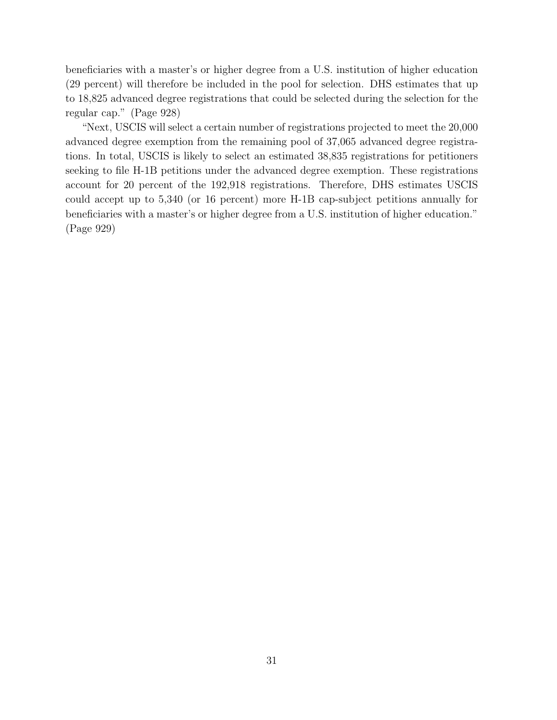beneficiaries with a master's or higher degree from a U.S. institution of higher education (29 percent) will therefore be included in the pool for selection. DHS estimates that up to 18,825 advanced degree registrations that could be selected during the selection for the regular cap." (Page 928)

"Next, USCIS will select a certain number of registrations projected to meet the 20,000 advanced degree exemption from the remaining pool of 37,065 advanced degree registrations. In total, USCIS is likely to select an estimated 38,835 registrations for petitioners seeking to file H-1B petitions under the advanced degree exemption. These registrations account for 20 percent of the 192,918 registrations. Therefore, DHS estimates USCIS could accept up to 5,340 (or 16 percent) more H-1B cap-subject petitions annually for beneficiaries with a master's or higher degree from a U.S. institution of higher education." (Page 929)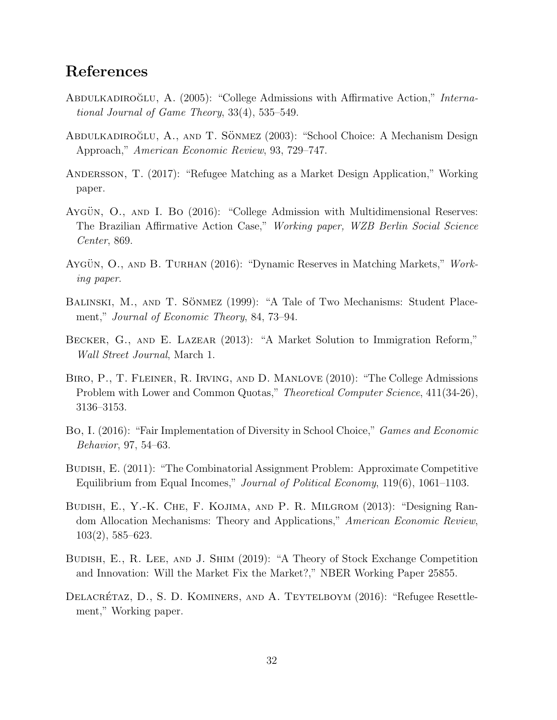# References

- ABDULKADIROGLU, A. (2005): "College Admissions with Affirmative Action," International Journal of Game Theory, 33(4), 535–549.
- ABDULKADIROĞLU, A., AND T. SÖNMEZ (2003): "School Choice: A Mechanism Design Approach," American Economic Review, 93, 729–747.
- Andersson, T. (2017): "Refugee Matching as a Market Design Application," Working paper.
- Aygün, O., AND I. Bo (2016): "College Admission with Multidimensional Reserves: The Brazilian Affirmative Action Case," Working paper, WZB Berlin Social Science Center, 869.
- AYGÜN, O., AND B. TURHAN (2016): "Dynamic Reserves in Matching Markets," Working paper.
- BALINSKI, M., AND T. SÖNMEZ (1999): "A Tale of Two Mechanisms: Student Placement," Journal of Economic Theory, 84, 73–94.
- Becker, G., and E. Lazear (2013): "A Market Solution to Immigration Reform," Wall Street Journal, March 1.
- Biro, P., T. Fleiner, R. Irving, and D. Manlove (2010): "The College Admissions Problem with Lower and Common Quotas," Theoretical Computer Science, 411(34-26), 3136–3153.
- Bo, I. (2016): "Fair Implementation of Diversity in School Choice," Games and Economic Behavior, 97, 54–63.
- Budish, E. (2011): "The Combinatorial Assignment Problem: Approximate Competitive Equilibrium from Equal Incomes," Journal of Political Economy, 119(6), 1061–1103.
- Budish, E., Y.-K. Che, F. Kojima, and P. R. Milgrom (2013): "Designing Random Allocation Mechanisms: Theory and Applications," American Economic Review, 103(2), 585–623.
- Budish, E., R. Lee, and J. Shim (2019): "A Theory of Stock Exchange Competition and Innovation: Will the Market Fix the Market?," NBER Working Paper 25855.
- DELACRÉTAZ, D., S. D. KOMINERS, AND A. TEYTELBOYM (2016): "Refugee Resettlement," Working paper.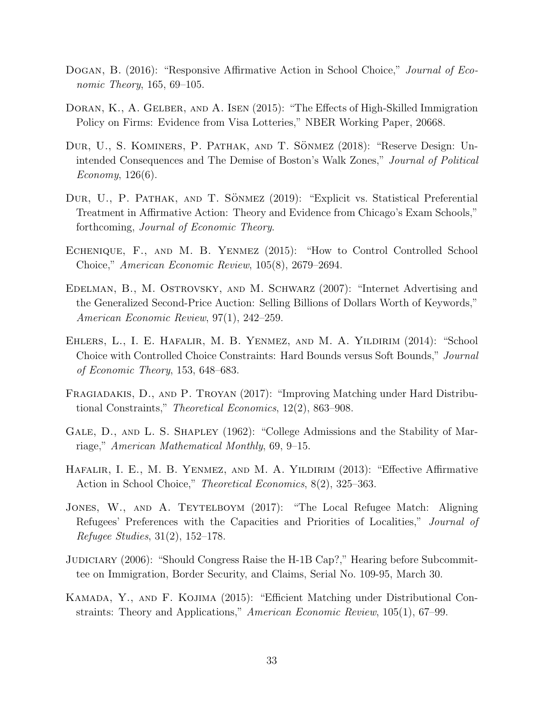- Dogan, B. (2016): "Responsive Affirmative Action in School Choice," Journal of Economic Theory, 165, 69–105.
- DORAN, K., A. GELBER, AND A. ISEN (2015): "The Effects of High-Skilled Immigration Policy on Firms: Evidence from Visa Lotteries," NBER Working Paper, 20668.
- DUR, U., S. KOMINERS, P. PATHAK, AND T. SÖNMEZ (2018): "Reserve Design: Unintended Consequences and The Demise of Boston's Walk Zones," Journal of Political Economy, 126(6).
- DUR, U., P. PATHAK, AND T. SÖNMEZ (2019): "Explicit vs. Statistical Preferential Treatment in Affirmative Action: Theory and Evidence from Chicago's Exam Schools," forthcoming, Journal of Economic Theory.
- Echenique, F., and M. B. Yenmez (2015): "How to Control Controlled School Choice," American Economic Review, 105(8), 2679–2694.
- Edelman, B., M. Ostrovsky, and M. Schwarz (2007): "Internet Advertising and the Generalized Second-Price Auction: Selling Billions of Dollars Worth of Keywords," American Economic Review, 97(1), 242–259.
- Ehlers, L., I. E. Hafalir, M. B. Yenmez, and M. A. Yildirim (2014): "School Choice with Controlled Choice Constraints: Hard Bounds versus Soft Bounds," Journal of Economic Theory, 153, 648–683.
- Fragiadakis, D., and P. Troyan (2017): "Improving Matching under Hard Distributional Constraints," Theoretical Economics, 12(2), 863–908.
- GALE, D., AND L. S. SHAPLEY (1962): "College Admissions and the Stability of Marriage," American Mathematical Monthly, 69, 9–15.
- Hafalir, I. E., M. B. Yenmez, and M. A. Yildirim (2013): "Effective Affirmative Action in School Choice," Theoretical Economics, 8(2), 325–363.
- Jones, W., and A. Teytelboym (2017): "The Local Refugee Match: Aligning Refugees' Preferences with the Capacities and Priorities of Localities," Journal of Refugee Studies, 31(2), 152–178.
- JUDICIARY (2006): "Should Congress Raise the H-1B Cap?," Hearing before Subcommittee on Immigration, Border Security, and Claims, Serial No. 109-95, March 30.
- Kamada, Y., and F. Kojima (2015): "Efficient Matching under Distributional Constraints: Theory and Applications," American Economic Review, 105(1), 67–99.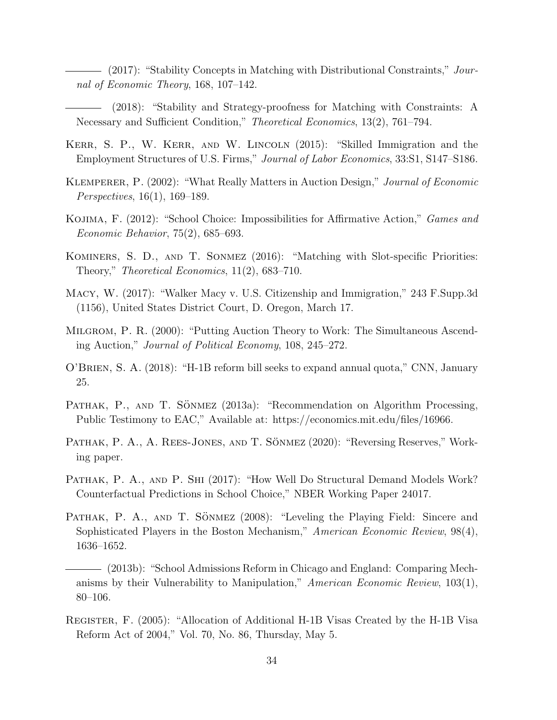- (2017): "Stability Concepts in Matching with Distributional Constraints," Journal of Economic Theory, 168, 107–142.

(2018): "Stability and Strategy-proofness for Matching with Constraints: A Necessary and Sufficient Condition," *Theoretical Economics*, 13(2), 761–794.

- KERR, S. P., W. KERR, AND W. LINCOLN (2015): "Skilled Immigration and the Employment Structures of U.S. Firms," Journal of Labor Economics, 33:S1, S147–S186.
- Klemperer, P. (2002): "What Really Matters in Auction Design," Journal of Economic Perspectives, 16(1), 169–189.
- Kojima, F. (2012): "School Choice: Impossibilities for Affirmative Action," Games and Economic Behavior, 75(2), 685–693.
- Kominers, S. D., and T. Sonmez (2016): "Matching with Slot-specific Priorities: Theory," Theoretical Economics, 11(2), 683–710.
- Macy, W. (2017): "Walker Macy v. U.S. Citizenship and Immigration," 243 F.Supp.3d (1156), United States District Court, D. Oregon, March 17.
- Milgrom, P. R. (2000): "Putting Auction Theory to Work: The Simultaneous Ascending Auction," Journal of Political Economy, 108, 245–272.
- O'Brien, S. A. (2018): "H-1B reform bill seeks to expand annual quota," CNN, January 25.
- PATHAK, P., AND T. SÖNMEZ  $(2013a)$ : "Recommendation on Algorithm Processing, Public Testimony to EAC," Available at: https://economics.mit.edu/files/16966.
- PATHAK, P. A., A. REES-JONES, AND T. SONMEZ (2020): "Reversing Reserves," Working paper.
- PATHAK, P. A., AND P. SHI (2017): "How Well Do Structural Demand Models Work? Counterfactual Predictions in School Choice," NBER Working Paper 24017.
- PATHAK, P. A., AND T. SÖNMEZ (2008): "Leveling the Playing Field: Sincere and Sophisticated Players in the Boston Mechanism," American Economic Review, 98(4), 1636–1652.
- (2013b): "School Admissions Reform in Chicago and England: Comparing Mechanisms by their Vulnerability to Manipulation," American Economic Review,  $103(1)$ , 80–106.
- Register, F. (2005): "Allocation of Additional H-1B Visas Created by the H-1B Visa Reform Act of 2004," Vol. 70, No. 86, Thursday, May 5.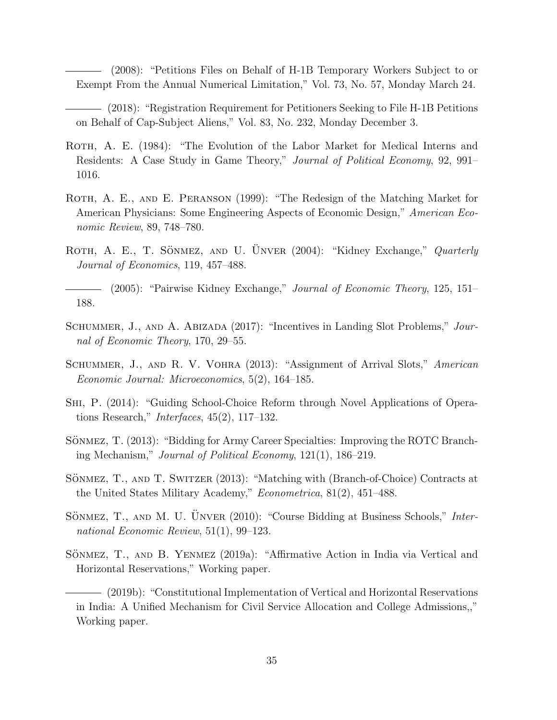(2008): "Petitions Files on Behalf of H-1B Temporary Workers Subject to or Exempt From the Annual Numerical Limitation," Vol. 73, No. 57, Monday March 24.

- (2018): "Registration Requirement for Petitioners Seeking to File H-1B Petitions on Behalf of Cap-Subject Aliens," Vol. 83, No. 232, Monday December 3.
- ROTH, A. E. (1984): "The Evolution of the Labor Market for Medical Interns and Residents: A Case Study in Game Theory," Journal of Political Economy, 92, 991– 1016.
- ROTH, A. E., AND E. PERANSON (1999): "The Redesign of the Matching Market for American Physicians: Some Engineering Aspects of Economic Design," American Economic Review, 89, 748–780.
- ROTH, A. E., T. SÖNMEZ, AND U. UNVER (2004): "Kidney Exchange," Quarterly Journal of Economics, 119, 457–488.
- (2005): "Pairwise Kidney Exchange," Journal of Economic Theory, 125, 151– 188.
- SCHUMMER, J., AND A. ABIZADA (2017): "Incentives in Landing Slot Problems," Journal of Economic Theory, 170, 29–55.
- Schummer, J., and R. V. Vohra (2013): "Assignment of Arrival Slots," American Economic Journal: Microeconomics, 5(2), 164–185.
- Shi, P. (2014): "Guiding School-Choice Reform through Novel Applications of Operations Research," Interfaces, 45(2), 117–132.
- SÖNMEZ, T. (2013): "Bidding for Army Career Specialties: Improving the ROTC Branching Mechanism," Journal of Political Economy, 121(1), 186–219.
- SONMEZ, T., AND T. SWITZER (2013): "Matching with (Branch-of-Choice) Contracts at the United States Military Academy," Econometrica, 81(2), 451–488.
- SÖNMEZ, T., AND M. U. UNVER (2010): "Course Bidding at Business Schools," International Economic Review, 51(1), 99–123.
- SÖNMEZ, T., AND B. YENMEZ (2019a): "Affirmative Action in India via Vertical and Horizontal Reservations," Working paper.
- (2019b): "Constitutional Implementation of Vertical and Horizontal Reservations in India: A Unified Mechanism for Civil Service Allocation and College Admissions,," Working paper.